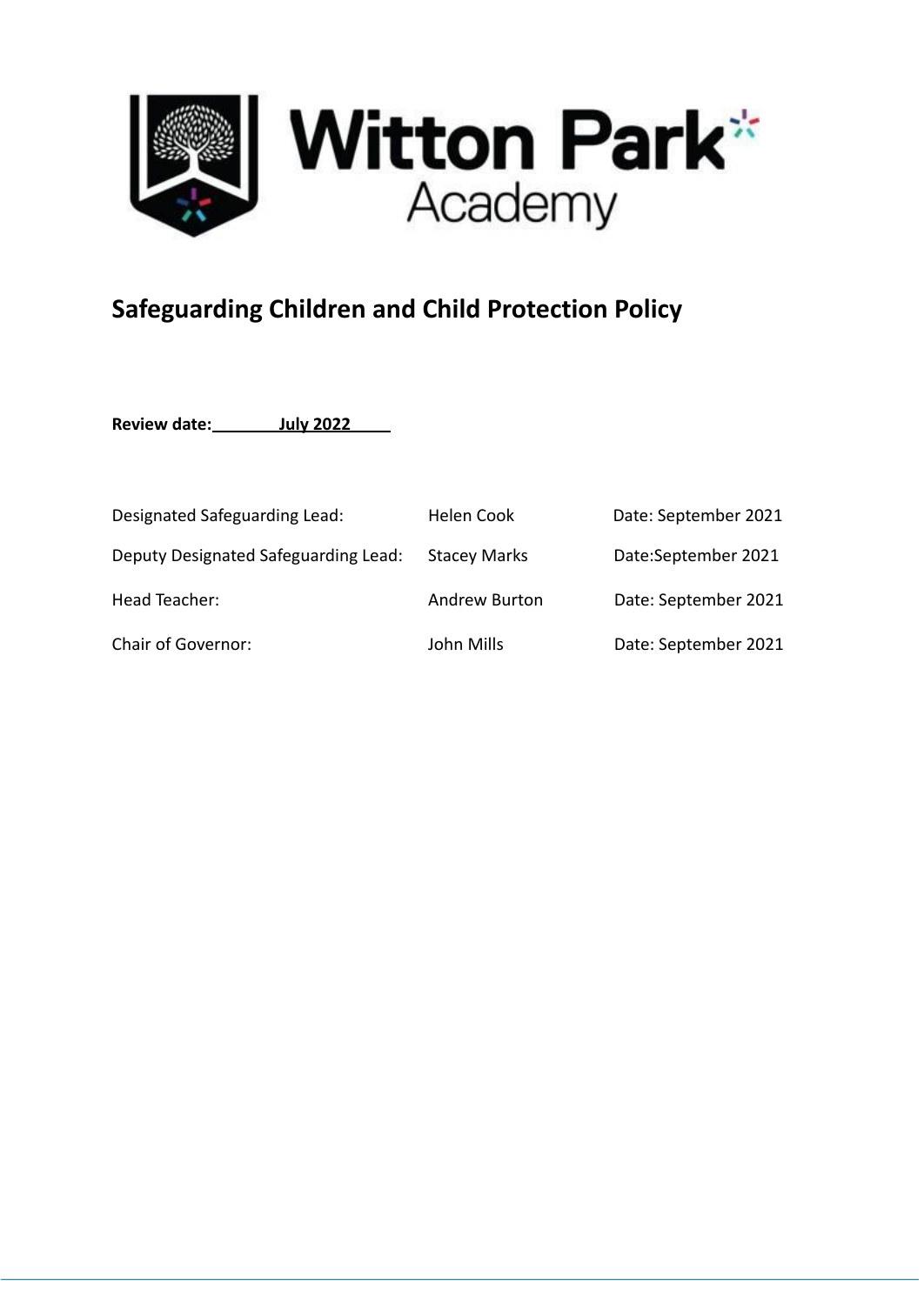

# **Safeguarding Children and Child Protection Policy**

**Review date: July 2022**

| Designated Safeguarding Lead:        | Helen Cook          | Date: September 2021 |
|--------------------------------------|---------------------|----------------------|
| Deputy Designated Safeguarding Lead: | <b>Stacey Marks</b> | Date:September 2021  |
| Head Teacher:                        | Andrew Burton       | Date: September 2021 |
| Chair of Governor:                   | John Mills          | Date: September 2021 |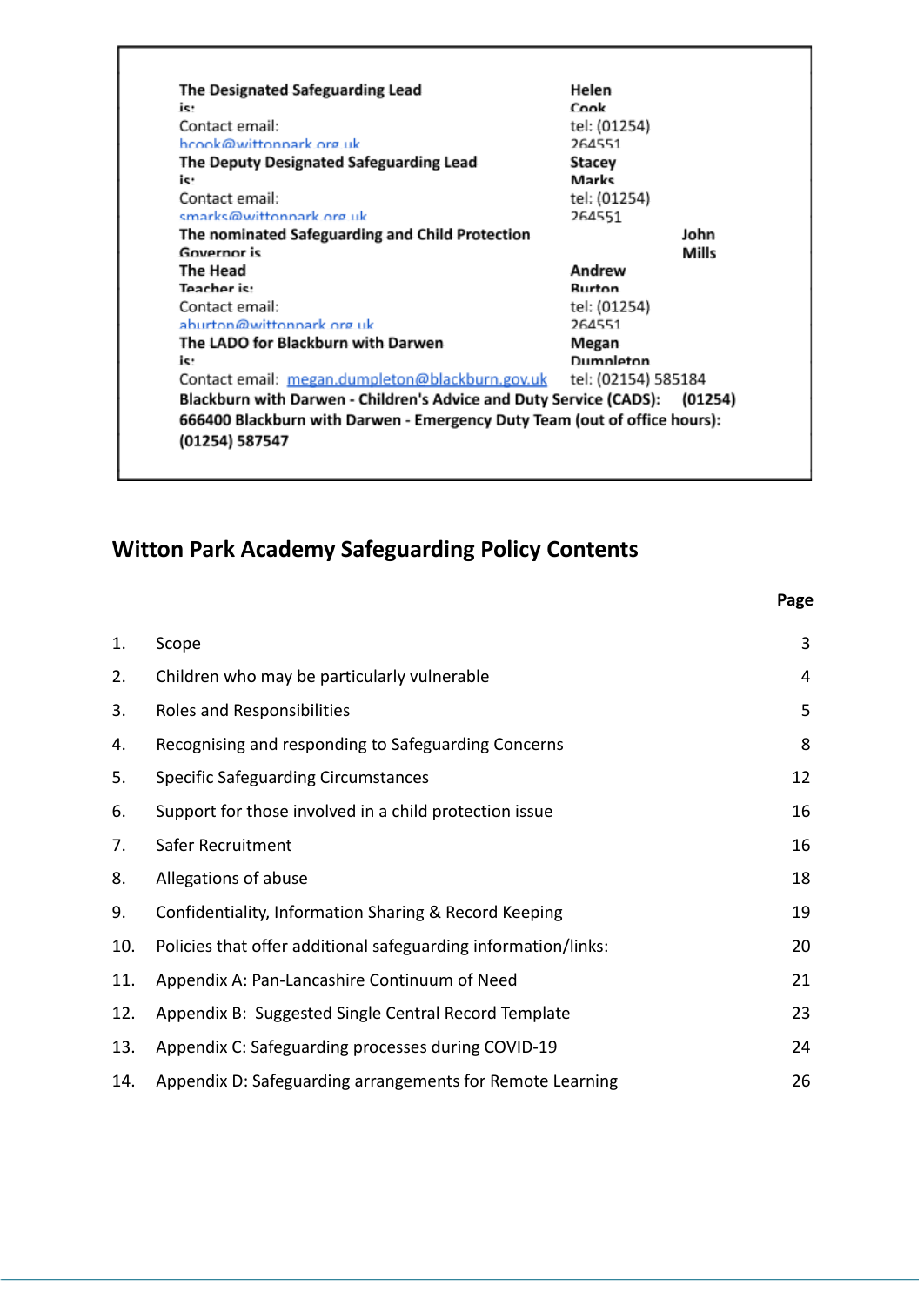| The Designated Safeguarding Lead                                           | Helen               |
|----------------------------------------------------------------------------|---------------------|
| is.                                                                        | Cook                |
| Contact email:                                                             | tel: (01254)        |
| hcook@wittonnark.org.uk                                                    | 264551              |
| The Deputy Designated Safeguarding Lead                                    | Stacey              |
| is.                                                                        | Marks               |
| Contact email:                                                             | tel: (01254)        |
| emarke@wittonnark.org.uk                                                   | 264551              |
| The nominated Safeguarding and Child Protection                            | John                |
| Governor is                                                                | Mills               |
| The Head                                                                   | Andrew              |
| Teacher is:                                                                | Rurton              |
| Contact email:                                                             | tel: (01254)        |
| aburton@wittonnark.org.uk                                                  | 264551              |
| The LADO for Blackburn with Darwen                                         | Megan               |
| iς٠                                                                        | Dumnleton           |
| Contact email: megan.dumpleton@blackburn.gov.uk                            | tel: (02154) 585184 |
| Blackburn with Darwen - Children's Advice and Duty Service (CADS): (01254) |                     |
| 666400 Blackburn with Darwen - Emergency Duty Team (out of office hours):  |                     |
| (01254) 587547                                                             |                     |

# **Witton Park Academy Safeguarding Policy Contents**

|     |                                                                | Page |
|-----|----------------------------------------------------------------|------|
| 1.  | Scope                                                          | 3    |
| 2.  | Children who may be particularly vulnerable                    | 4    |
| 3.  | Roles and Responsibilities                                     | 5    |
| 4.  | Recognising and responding to Safeguarding Concerns            | 8    |
| 5.  | <b>Specific Safeguarding Circumstances</b>                     | 12   |
| 6.  | Support for those involved in a child protection issue         | 16   |
| 7.  | Safer Recruitment                                              | 16   |
| 8.  | Allegations of abuse                                           | 18   |
| 9.  | Confidentiality, Information Sharing & Record Keeping          | 19   |
| 10. | Policies that offer additional safeguarding information/links: | 20   |
| 11. | Appendix A: Pan-Lancashire Continuum of Need                   | 21   |
| 12. | Appendix B: Suggested Single Central Record Template           | 23   |
| 13. | Appendix C: Safeguarding processes during COVID-19             | 24   |
| 14. | Appendix D: Safeguarding arrangements for Remote Learning      | 26   |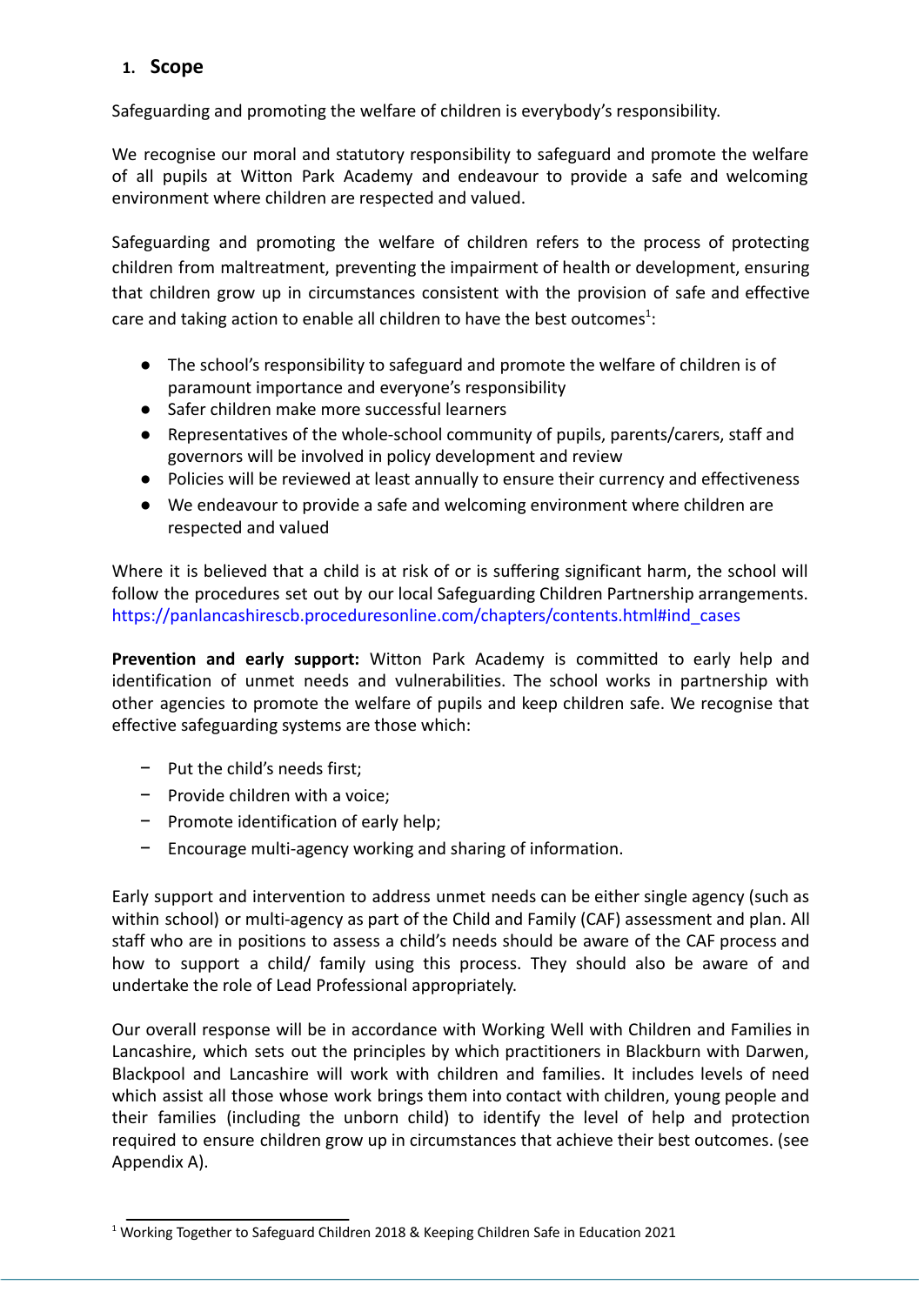## <span id="page-2-0"></span>**1. Scope**

Safeguarding and promoting the welfare of children is everybody's responsibility.

We recognise our moral and statutory responsibility to safeguard and promote the welfare of all pupils at Witton Park Academy and endeavour to provide a safe and welcoming environment where children are respected and valued.

Safeguarding and promoting the welfare of children refers to the process of protecting children from maltreatment, preventing the impairment of health or development, ensuring that children grow up in circumstances consistent with the provision of safe and effective care and taking action to enable all children to have the best outcomes<sup>1</sup>:

- The school's responsibility to safeguard and promote the welfare of children is of paramount importance and everyone's responsibility
- Safer children make more successful learners
- Representatives of the whole-school community of pupils, parents/carers, staff and governors will be involved in policy development and review
- Policies will be reviewed at least annually to ensure their currency and effectiveness
- We endeavour to provide a safe and welcoming environment where children are respected and valued

Where it is believed that a child is at risk of or is suffering significant harm, the school will follow the procedures set out by our local Safeguarding Children Partnership arrangements. [https://panlancashirescb.proceduresonline.com/chapters/contents.html#ind\\_cases](https://panlancashirescb.proceduresonline.com/chapters/contents.html#ind_cases)

**Prevention and early support:** Witton Park Academy is committed to early help and identification of unmet needs and vulnerabilities. The school works in partnership with other agencies to promote the welfare of pupils and keep children safe. We recognise that effective safeguarding systems are those which:

- − Put the child's needs first;
- − Provide children with a voice;
- − Promote identification of early help;
- − Encourage multi-agency working and sharing of information.

Early support and intervention to address unmet needs can be either single agency (such as within school) or multi-agency as part of the Child and Family (CAF) assessment and plan. All staff who are in positions to assess a child's needs should be aware of the CAF process and how to support a child/ family using this process. They should also be aware of and undertake the role of Lead Professional appropriately.

Our overall response will be in accordance with Working Well with Children and Families in Lancashire, which sets out the principles by which practitioners in Blackburn with Darwen, Blackpool and Lancashire will work with children and families. It includes levels of need which assist all those whose work brings them into contact with children, young people and their families (including the unborn child) to identify the level of help and protection required to ensure children grow up in circumstances that achieve their best outcomes. (see Appendix A).

<sup>&</sup>lt;sup>1</sup> Working Together to Safeguard Children 2018 & Keeping Children Safe in Education 2021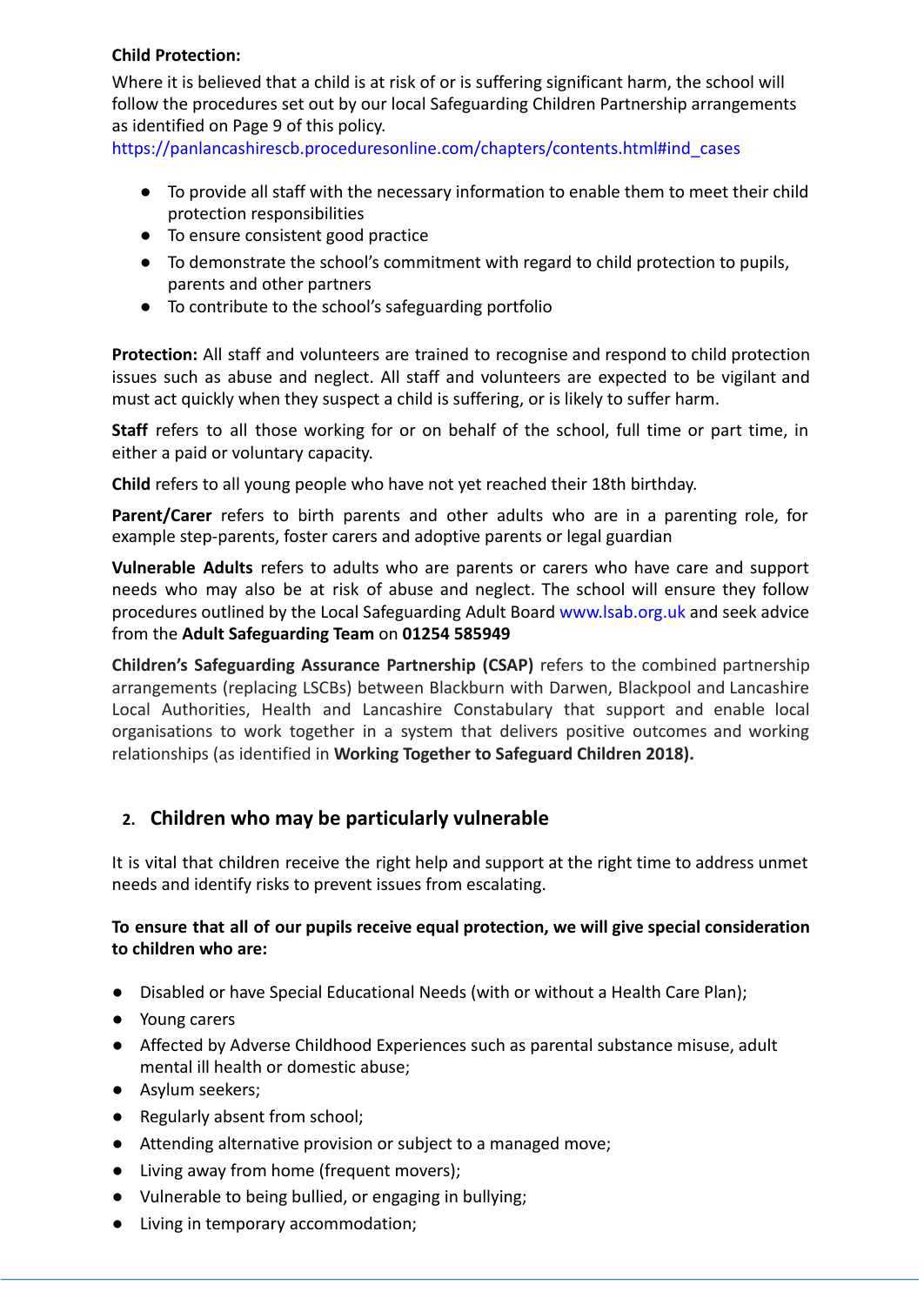#### **Child Protection:**

Where it is believed that a child is at risk of or is suffering significant harm, the school will follow the procedures set out by our local Safeguarding Children Partnership arrangements as identified on Page 9 of this policy.

[https://panlancashirescb.proceduresonline.com/chapters/contents.html#ind\\_cases](https://panlancashirescb.proceduresonline.com/chapters/contents.html#ind_cases)

- To provide all staff with the necessary information to enable them to meet their child protection responsibilities
- To ensure consistent good practice
- To demonstrate the school's commitment with regard to child protection to pupils, parents and other partners
- To contribute to the school's safeguarding portfolio

**Protection:** All staff and volunteers are trained to recognise and respond to child protection issues such as abuse and neglect. All staff and volunteers are expected to be vigilant and must act quickly when they suspect a child is suffering, or is likely to suffer harm.

**Staff** refers to all those working for or on behalf of the school, full time or part time, in either a paid or voluntary capacity.

**Child** refers to all young people who have not yet reached their 18th birthday.

**Parent/Carer** refers to birth parents and other adults who are in a parenting role, for example step-parents, foster carers and adoptive parents or legal guardian

**Vulnerable Adults** refers to adults who are parents or carers who have care and support needs who may also be at risk of abuse and neglect. The school will ensure they follow procedures outlined by the Local Safeguarding Adult Board [www.lsab.org.uk](http://www.lsab.org.uk/) and seek advice from the **Adult Safeguarding Team** on **01254 585949**

**Children's Safeguarding Assurance Partnership (CSAP)** refers to the combined partnership arrangements (replacing LSCBs) between Blackburn with Darwen, Blackpool and Lancashire Local Authorities, Health and Lancashire Constabulary that support and enable local organisations to work together in a system that delivers positive outcomes and working relationships (as identified in **Working Together to [Safeguard Children 2018](https://www.gov.uk/government/publications/working-together-to-safeguard-children--2)).**

## <span id="page-3-0"></span>**2. Children who may be particularly vulnerable**

It is vital that children receive the right help and support at the right time to address unmet needs and identify risks to prevent issues from escalating.

#### **To ensure that all of our pupils receive equal protection, we will give special consideration to children who are:**

- Disabled or have Special Educational Needs (with or without a Health Care Plan);
- Young carers
- Affected by Adverse Childhood Experiences such as parental substance misuse, adult mental ill health or domestic abuse;
- Asylum seekers;
- Regularly absent from school:
- Attending alternative provision or subject to a managed move;
- Living away from home (frequent movers);
- Vulnerable to being bullied, or engaging in bullying;
- Living in temporary accommodation;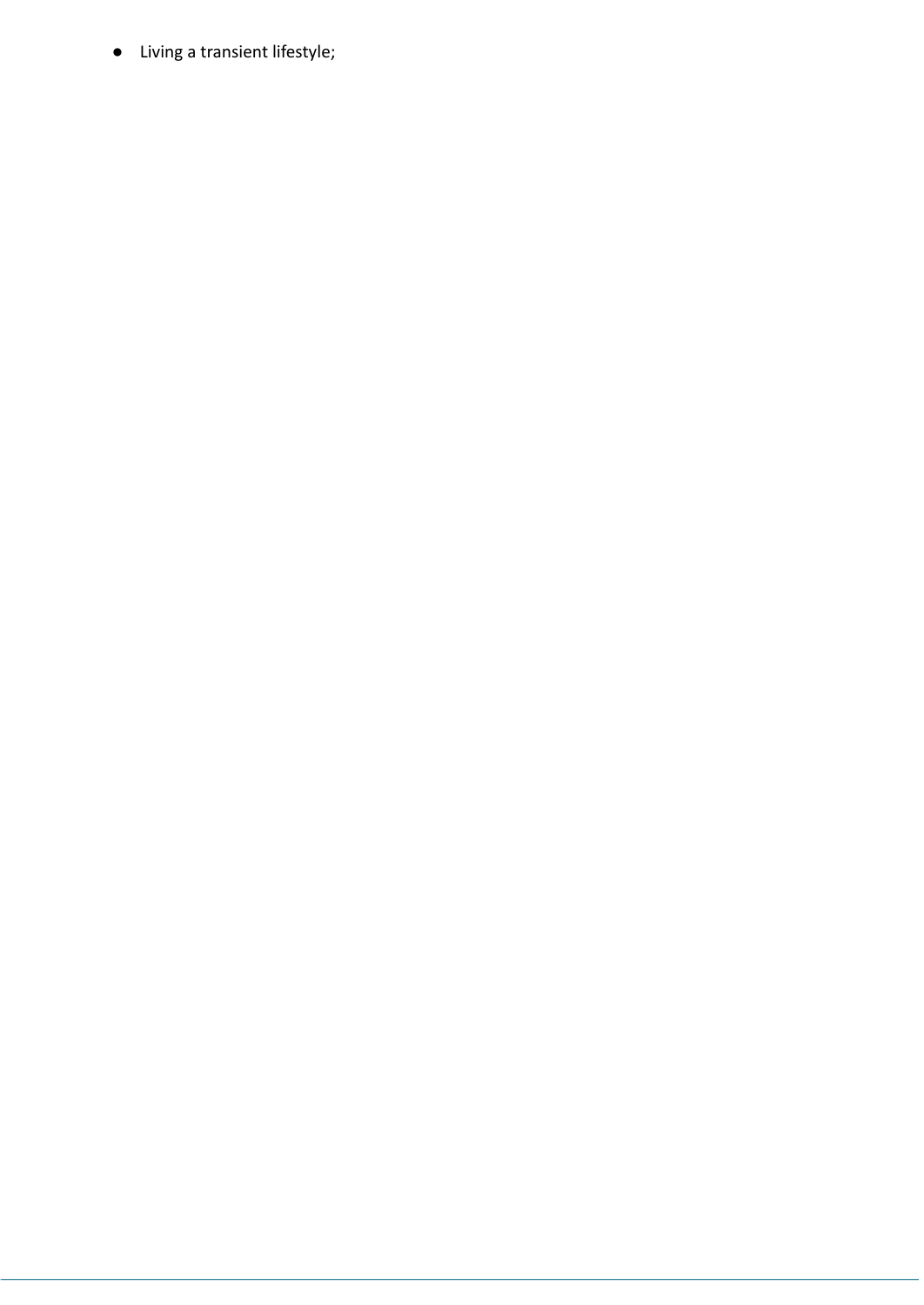● Living a transient lifestyle;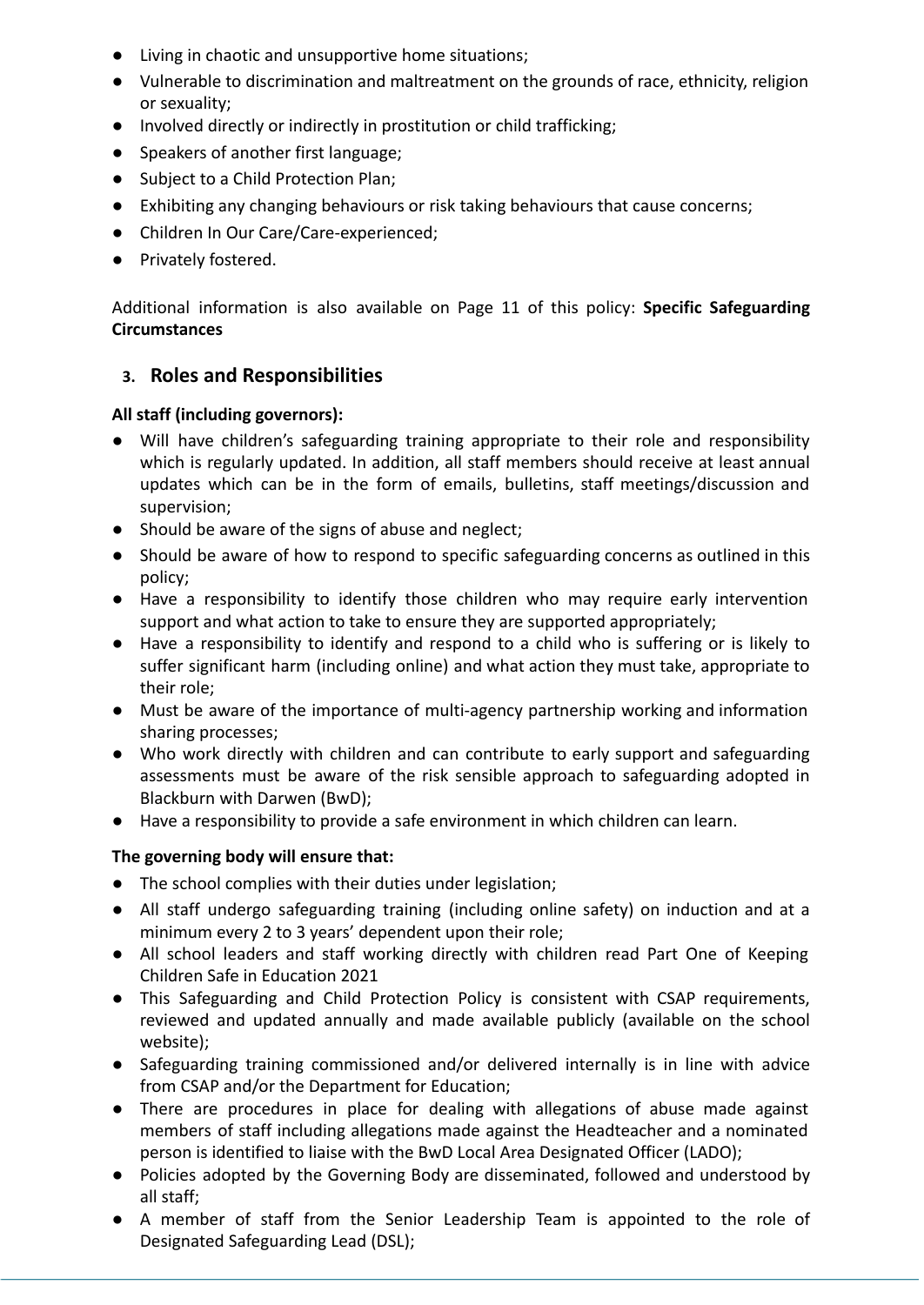- Living in chaotic and unsupportive home situations;
- Vulnerable to discrimination and maltreatment on the grounds of race, ethnicity, religion or sexuality;
- Involved directly or indirectly in prostitution or child trafficking;
- Speakers of another first language;
- Subject to a Child Protection Plan:
- Exhibiting any changing behaviours or risk taking behaviours that cause concerns;
- Children In Our Care/Care-experienced;
- Privately fostered.

Additional information is also available on Page 11 of this policy: **Specific Safeguarding Circumstances**

## <span id="page-5-0"></span>**3. Roles and Responsibilities**

#### **All staff (including governors):**

- Will have children's safeguarding training appropriate to their role and responsibility which is regularly updated. In addition, all staff members should receive at least annual updates which can be in the form of emails, bulletins, staff meetings/discussion and supervision;
- Should be aware of the signs of abuse and neglect;
- Should be aware of how to respond to specific safeguarding concerns as outlined in this policy;
- Have a responsibility to identify those children who may require early intervention support and what action to take to ensure they are supported appropriately;
- Have a responsibility to identify and respond to a child who is suffering or is likely to suffer significant harm (including online) and what action they must take, appropriate to their role;
- Must be aware of the importance of multi-agency partnership working and information sharing processes;
- Who work directly with children and can contribute to early support and safeguarding assessments must be aware of the risk sensible approach to safeguarding adopted in Blackburn with Darwen (BwD);
- Have a responsibility to provide a safe environment in which children can learn.

#### **The governing body will ensure that:**

- The school complies with their duties under legislation;
- All staff undergo safeguarding training (including online safety) on induction and at a minimum every 2 to 3 years' dependent upon their role;
- All school leaders and staff working directly with children read Part One of Keeping Children Safe in Education 2021
- This Safeguarding and Child Protection Policy is consistent with CSAP requirements, reviewed and updated annually and made available publicly (available on the school website);
- Safeguarding training commissioned and/or delivered internally is in line with advice from CSAP and/or the Department for Education;
- There are procedures in place for dealing with allegations of abuse made against members of staff including allegations made against the Headteacher and a nominated person is identified to liaise with the BwD Local Area Designated Officer (LADO);
- Policies adopted by the Governing Body are disseminated, followed and understood by all staff;
- A member of staff from the Senior Leadership Team is appointed to the role of Designated Safeguarding Lead (DSL);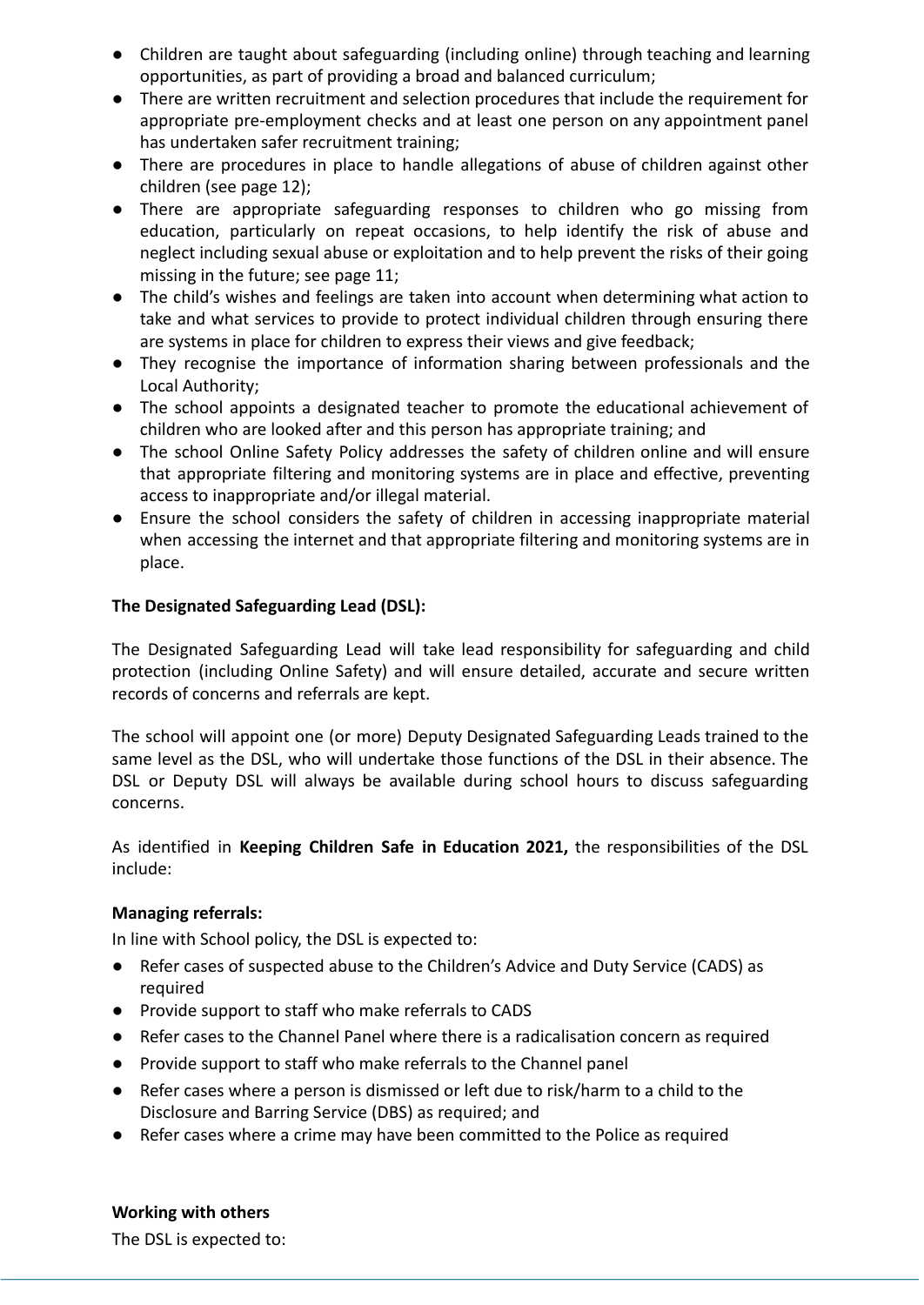- Children are taught about safeguarding (including online) through teaching and learning opportunities, as part of providing a broad and balanced curriculum;
- There are written recruitment and selection procedures that include the requirement for appropriate pre-employment checks and at least one person on any appointment panel has undertaken safer recruitment training;
- There are procedures in place to handle allegations of abuse of children against other children (see page 12);
- There are appropriate safeguarding responses to children who go missing from education, particularly on repeat occasions, to help identify the risk of abuse and neglect including sexual abuse or exploitation and to help prevent the risks of their going missing in the future; see page 11;
- The child's wishes and feelings are taken into account when determining what action to take and what services to provide to protect individual children through ensuring there are systems in place for children to express their views and give feedback;
- They recognise the importance of information sharing between professionals and the Local Authority;
- The school appoints a designated teacher to promote the educational achievement of children who are looked after and this person has appropriate training; and
- The school Online Safety Policy addresses the safety of children online and will ensure that appropriate filtering and monitoring systems are in place and effective, preventing access to inappropriate and/or illegal material.
- Ensure the school considers the safety of children in accessing inappropriate material when accessing the internet and that appropriate filtering and monitoring systems are in place.

#### **The Designated Safeguarding Lead (DSL):**

The Designated Safeguarding Lead will take lead responsibility for safeguarding and child protection (including Online Safety) and will ensure detailed, accurate and secure written records of concerns and referrals are kept.

The school will appoint one (or more) Deputy Designated Safeguarding Leads trained to the same level as the DSL, who will undertake those functions of the DSL in their absence. The DSL or Deputy DSL will always be available during school hours to discuss safeguarding concerns.

As identified in **Keeping Children Safe in [Education](https://www.gov.uk/government/publications/keeping-children-safe-in-education--2) 2021,** the responsibilities of the DSL include:

#### **Managing referrals:**

In line with School policy, the DSL is expected to:

- Refer cases of suspected abuse to the Children's Advice and Duty Service (CADS) as required
- Provide support to staff who make referrals to CADS
- Refer cases to the Channel Panel where there is a radicalisation concern as required
- Provide support to staff who make referrals to the Channel panel
- Refer cases where a person is dismissed or left due to risk/harm to a child to the Disclosure and Barring Service (DBS) as required; and
- Refer cases where a crime may have been committed to the Police as required

#### **Working with others**

The DSL is expected to: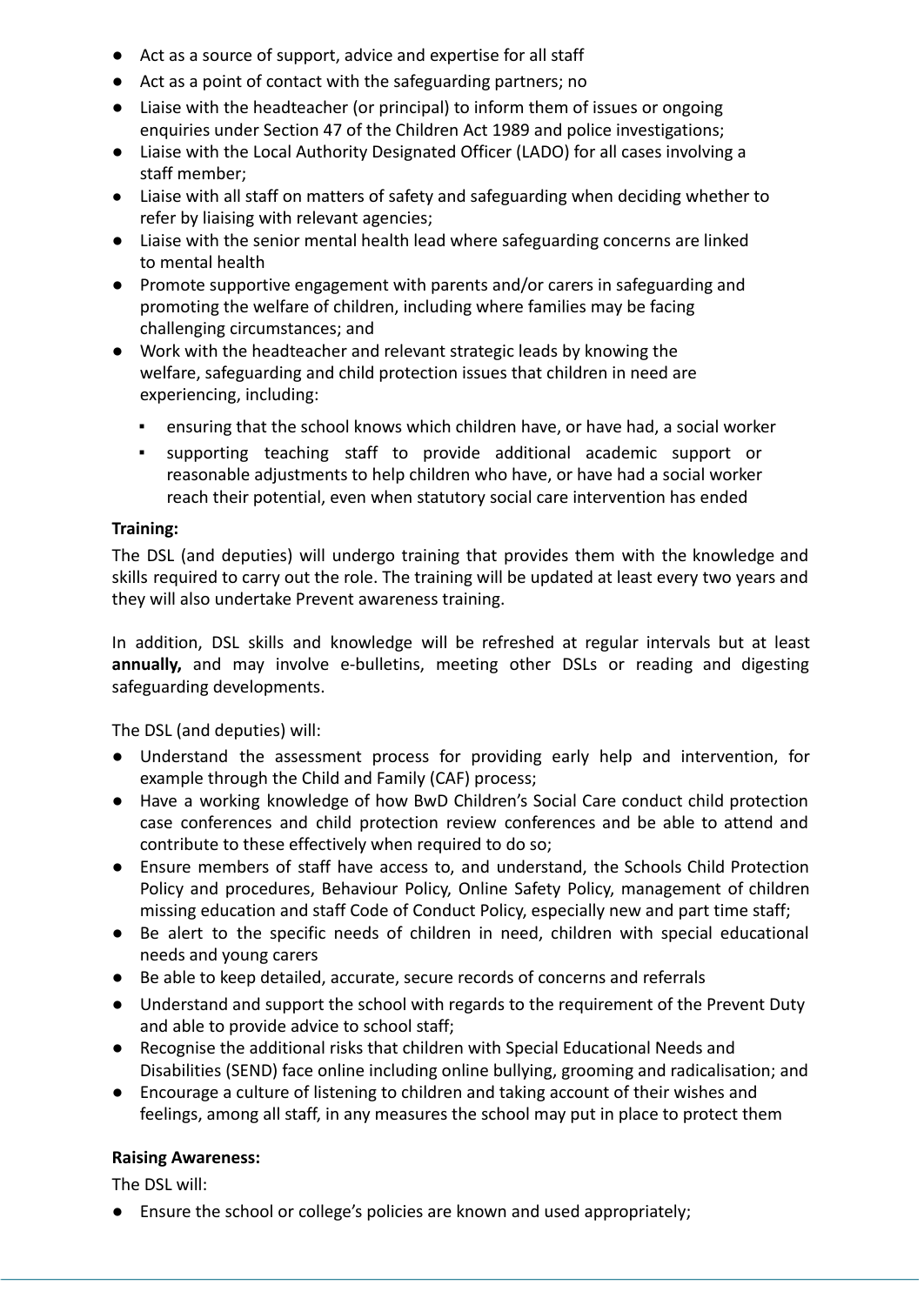- Act as a source of support, advice and expertise for all staff
- *●* Act as a point of contact with the safeguarding partners; no
- *●* Liaise with the headteacher (or principal) to inform them of issues or ongoing enquiries under Section 47 of the Children Act 1989 and police investigations;
- *●* Liaise with the Local Authority Designated Officer (LADO) for all cases involving a staff member;
- *●* Liaise with all staff on matters of safety and safeguarding when deciding whether to refer by liaising with relevant agencies;
- Liaise with the senior mental health lead where safeguarding concerns are linked to mental health
- Promote supportive engagement with parents and/or carers in safeguarding and promoting the welfare of children, including where families may be facing challenging circumstances; and
- *●* Work with the headteacher and relevant strategic leads by knowing the welfare, safeguarding and child protection issues that children in need are experiencing, including:
	- ensuring that the school knows which children have, or have had, a social worker
	- supporting teaching staff to provide additional academic support or reasonable adjustments to help children who have, or have had a social worker reach their potential, even when statutory social care intervention has ended

#### **Training:**

The DSL (and deputies) will undergo training that provides them with the knowledge and skills required to carry out the role. The training will be updated at least every two years and they will also undertake Prevent awareness training.

In addition, DSL skills and knowledge will be refreshed at regular intervals but at least **annually,** and may involve e-bulletins, meeting other DSLs or reading and digesting safeguarding developments.

The DSL (and deputies) will:

- Understand the assessment process for providing early help and intervention, for example through the Child and Family (CAF) process;
- Have a working knowledge of how BwD Children's Social Care conduct child protection case conferences and child protection review conferences and be able to attend and contribute to these effectively when required to do so;
- Ensure members of staff have access to, and understand, the Schools Child Protection Policy and procedures, Behaviour Policy, Online Safety Policy, management of children missing education and staff Code of Conduct Policy, especially new and part time staff;
- Be alert to the specific needs of children in need, children with special educational needs and young carers
- Be able to keep detailed, accurate, secure records of concerns and referrals
- Understand and support the school with regards to the requirement of the Prevent Duty and able to provide advice to school staff;
- Recognise the additional risks that children with Special Educational Needs and Disabilities (SEND) face online including online bullying, grooming and radicalisation; and
- Encourage a culture of listening to children and taking account of their wishes and feelings, among all staff, in any measures the school may put in place to protect them

## **Raising Awareness:**

The DSL will:

● Ensure the school or college's policies are known and used appropriately;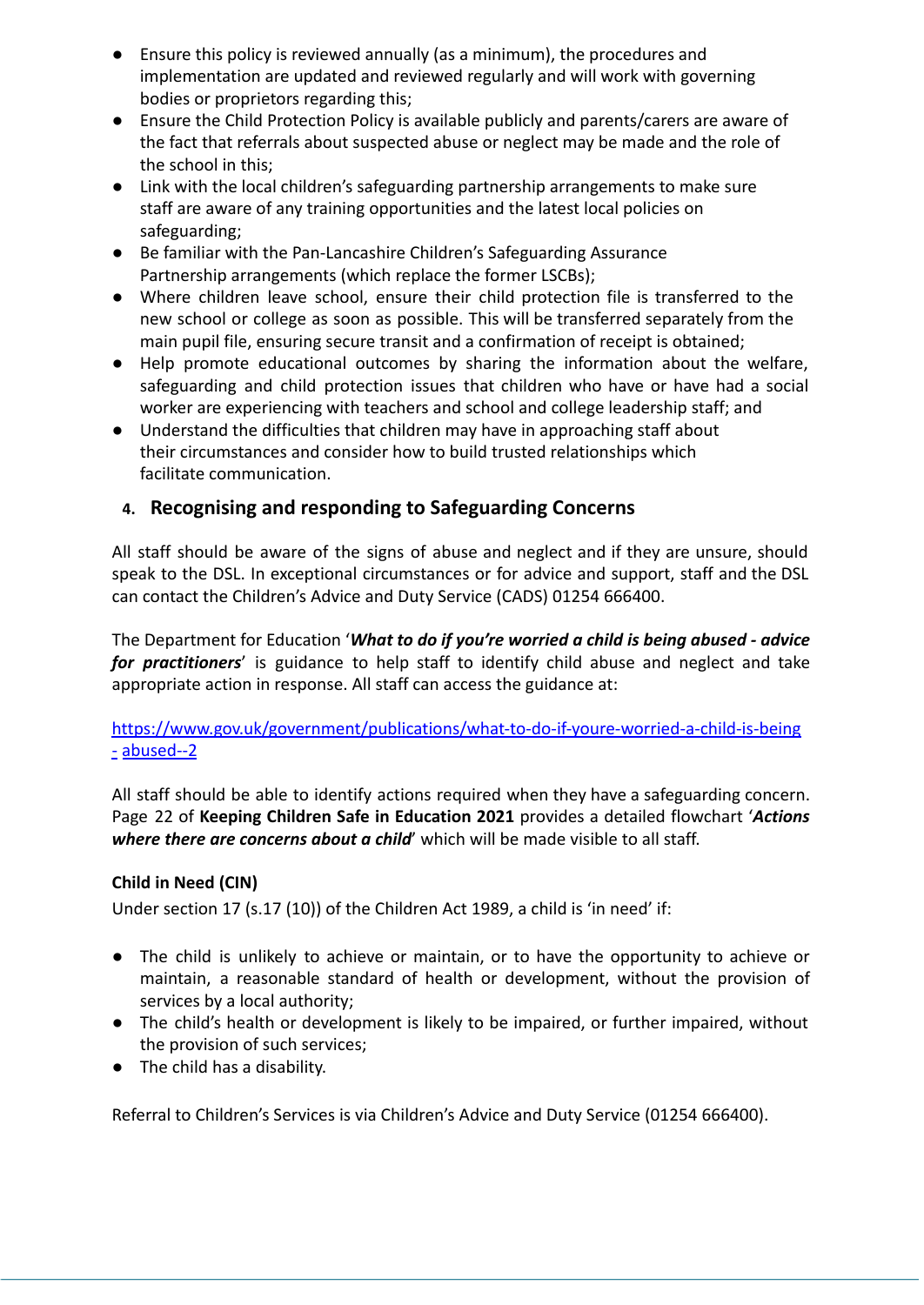- Ensure this policy is reviewed annually (as a minimum), the procedures and implementation are updated and reviewed regularly and will work with governing bodies or proprietors regarding this;
- Ensure the Child Protection Policy is available publicly and parents/carers are aware of the fact that referrals about suspected abuse or neglect may be made and the role of the school in this;
- Link with the local children's safeguarding partnership arrangements to make sure staff are aware of any training opportunities and the latest local policies on safeguarding;
- Be familiar with the Pan-Lancashire Children's Safeguarding Assurance Partnership arrangements (which replace the former LSCBs);
- Where children leave school, ensure their child protection file is transferred to the new school or college as soon as possible. This will be transferred separately from the main pupil file, ensuring secure transit and a confirmation of receipt is obtained;
- Help promote educational outcomes by sharing the information about the welfare, safeguarding and child protection issues that children who have or have had a social worker are experiencing with teachers and school and college leadership staff; and
- Understand the difficulties that children may have in approaching staff about their circumstances and consider how to build trusted relationships which facilitate communication.

## <span id="page-8-0"></span>**4. Recognising and responding to Safeguarding Concerns**

All staff should be aware of the signs of abuse and neglect and if they are unsure, should speak to the DSL. In exceptional circumstances or for advice and support, staff and the DSL can contact the Children's Advice and Duty Service (CADS) 01254 666400.

The Department for Education '*What to do if you're worried a child is being abused - advice for practitioners*' is guidance to help staff to identify child abuse and neglect and take appropriate action in response. All staff can access the guidance at:

[https://www.gov.uk/government/publications/what-to-do-if-youre-worried-a-child-is-being](https://www.gov.uk/government/publications/what-to-do-if-youre-worried-a-child-is-being-abused--2)  $-$  abused $-2$ 

All staff should be able to identify actions required when they have a safeguarding concern. Page 22 of **Keeping Children Safe in [Education](https://www.gov.uk/government/publications/keeping-children-safe-in-education--2) 2021** provides a detailed flowchart '*Actions where there are concerns about a child*' which will be made visible to all staff.

## **Child in Need (CIN)**

Under section 17 (s.17 (10)) of the Children Act 1989, a child is 'in need' if:

- The child is unlikely to achieve or maintain, or to have the opportunity to achieve or maintain, a reasonable standard of health or development, without the provision of services by a local authority;
- The child's health or development is likely to be impaired, or further impaired, without the provision of such services;
- The child has a disability.

Referral to Children's Services is via Children's Advice and Duty Service (01254 666400).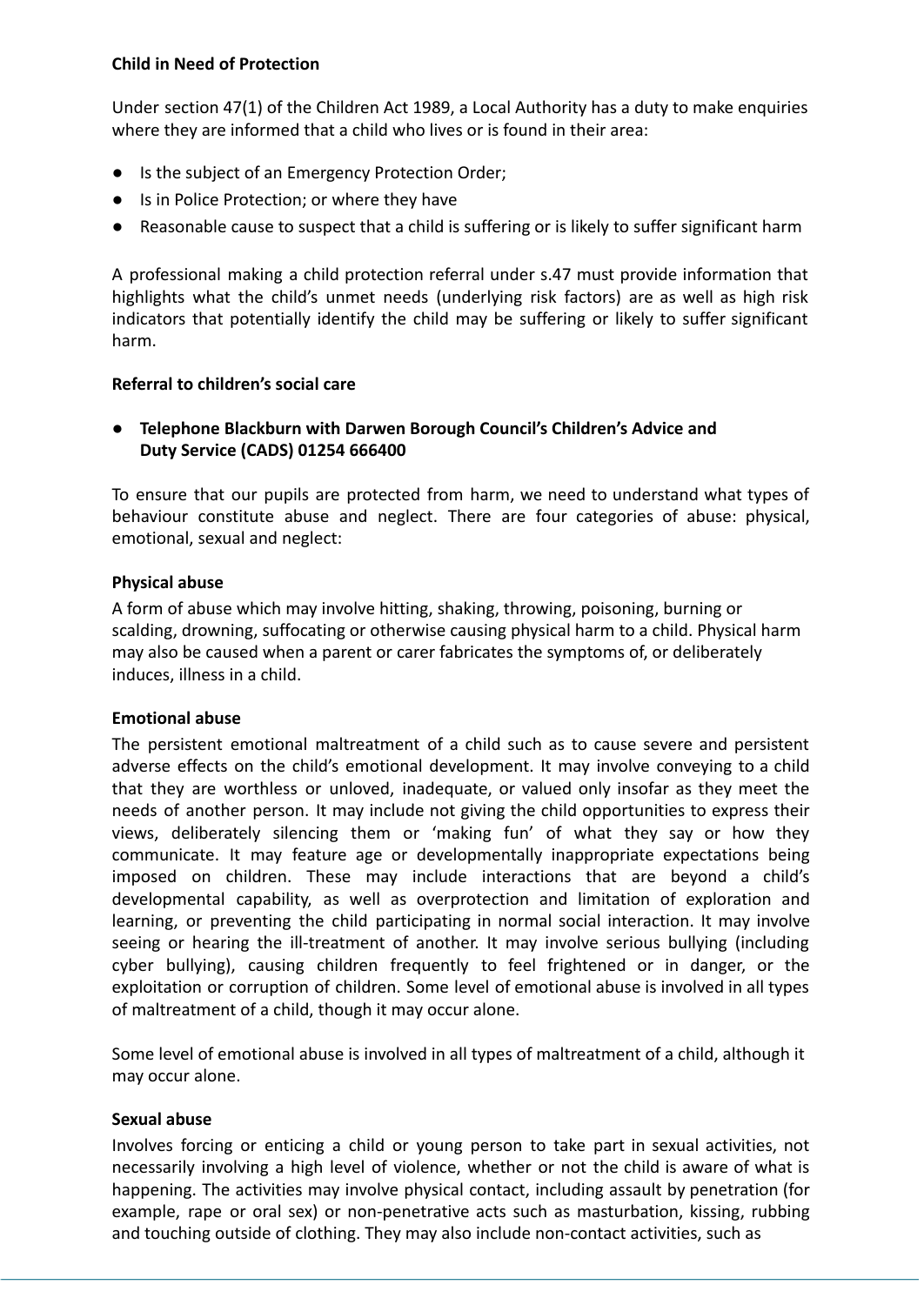#### **Child in Need of Protection**

Under section 47(1) of the Children Act 1989, a Local Authority has a duty to make enquiries where they are informed that a child who lives or is found in their area:

- Is the subject of an Emergency Protection Order;
- Is in Police Protection; or where they have
- Reasonable cause to suspect that a child is suffering or is likely to suffer significant harm

A professional making a child protection referral under s.47 must provide information that highlights what the child's unmet needs (underlying risk factors) are as well as high risk indicators that potentially identify the child may be suffering or likely to suffer significant harm.

#### **Referral to children's social care**

#### **● Telephone Blackburn with Darwen Borough Council's Children's Advice and Duty Service (CADS) 01254 666400**

To ensure that our pupils are protected from harm, we need to understand what types of behaviour constitute abuse and neglect. There are four categories of abuse: physical, emotional, sexual and neglect:

#### **Physical abuse**

A form of abuse which may involve hitting, shaking, throwing, poisoning, burning or scalding, drowning, suffocating or otherwise causing physical harm to a child. Physical harm may also be caused when a parent or carer fabricates the symptoms of, or deliberately induces, illness in a child.

#### **Emotional abuse**

The persistent emotional maltreatment of a child such as to cause severe and persistent adverse effects on the child's emotional development. It may involve conveying to a child that they are worthless or unloved, inadequate, or valued only insofar as they meet the needs of another person. It may include not giving the child opportunities to express their views, deliberately silencing them or 'making fun' of what they say or how they communicate. It may feature age or developmentally inappropriate expectations being imposed on children. These may include interactions that are beyond a child's developmental capability, as well as overprotection and limitation of exploration and learning, or preventing the child participating in normal social interaction. It may involve seeing or hearing the ill-treatment of another. It may involve serious bullying (including cyber bullying), causing children frequently to feel frightened or in danger, or the exploitation or corruption of children. Some level of emotional abuse is involved in all types of maltreatment of a child, though it may occur alone.

Some level of emotional abuse is involved in all types of maltreatment of a child, although it may occur alone.

#### **Sexual abuse**

Involves forcing or enticing a child or young person to take part in sexual activities, not necessarily involving a high level of violence, whether or not the child is aware of what is happening. The activities may involve physical contact, including assault by penetration (for example, rape or oral sex) or non-penetrative acts such as masturbation, kissing, rubbing and touching outside of clothing. They may also include non-contact activities, such as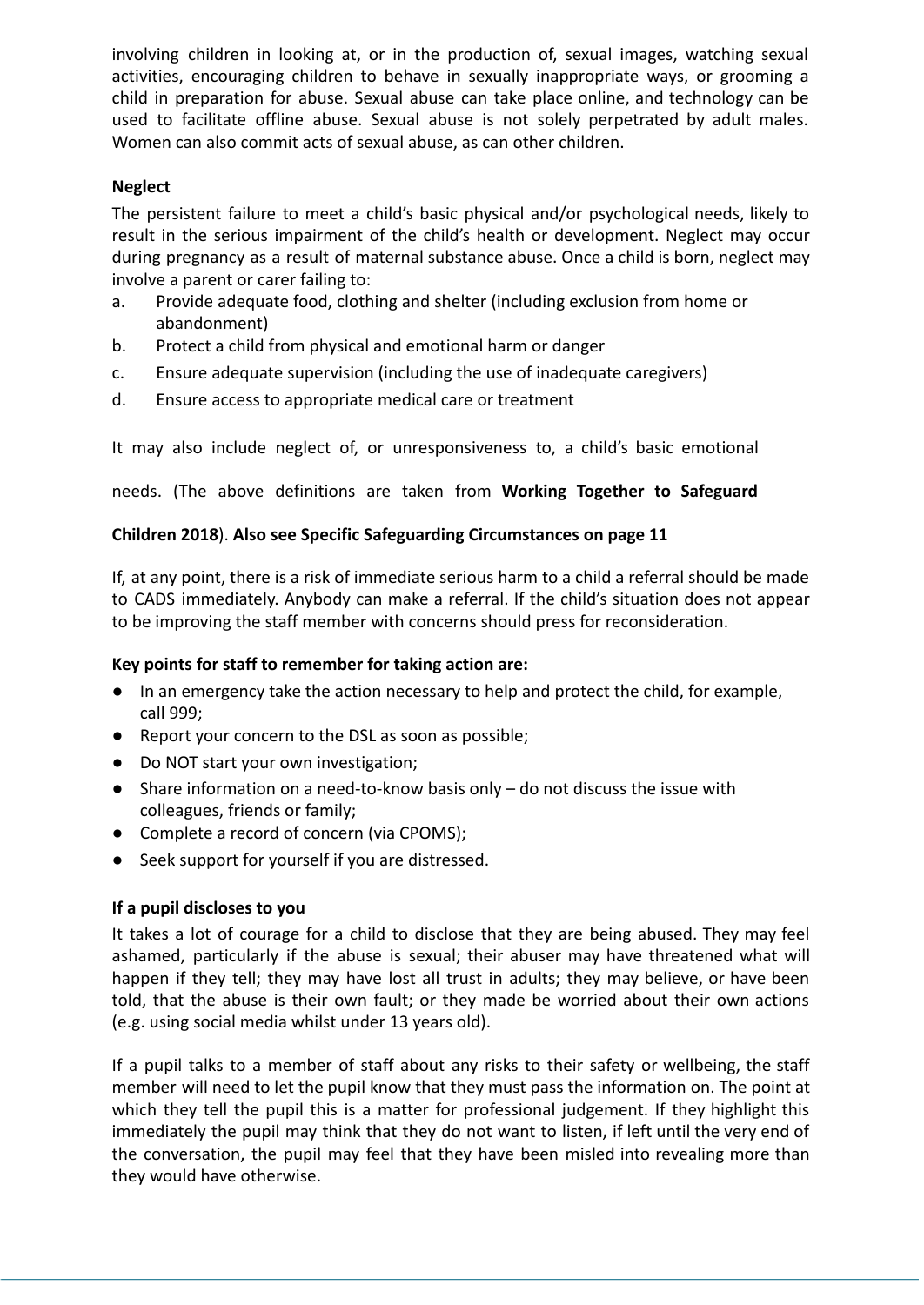involving children in looking at, or in the production of, sexual images, watching sexual activities, encouraging children to behave in sexually inappropriate ways, or grooming a child in preparation for abuse. Sexual abuse can take place online, and technology can be used to facilitate offline abuse. Sexual abuse is not solely perpetrated by adult males. Women can also commit acts of sexual abuse, as can other children.

#### **Neglect**

The persistent failure to meet a child's basic physical and/or psychological needs, likely to result in the serious impairment of the child's health or development. Neglect may occur during pregnancy as a result of maternal substance abuse. Once a child is born, neglect may involve a parent or carer failing to:

- a. Provide adequate food, clothing and shelter (including exclusion from home or abandonment)
- b. Protect a child from physical and emotional harm or danger
- c. Ensure adequate supervision (including the use of inadequate caregivers)
- d. Ensure access to appropriate medical care or treatment

It may also include neglect of, or unresponsiveness to, a child's basic emotional

needs. (The above definitions are taken from **Working Together to Safeguard**

#### **Children 2018**). **Also see Specific Safeguarding Circumstances on page 11**

If, at any point, there is a risk of immediate serious harm to a child a referral should be made to CADS immediately. Anybody can make a referral. If the child's situation does not appear to be improving the staff member with concerns should press for reconsideration.

#### **Key points for staff to remember for taking action are:**

- In an emergency take the action necessary to help and protect the child, for example, call 999;
- Report your concern to the DSL as soon as possible;
- Do NOT start your own investigation;
- Share information on a need-to-know basis only do not discuss the issue with colleagues, friends or family;
- Complete a record of concern (via CPOMS);
- Seek support for yourself if you are distressed.

#### **If a pupil discloses to you**

It takes a lot of courage for a child to disclose that they are being abused. They may feel ashamed, particularly if the abuse is sexual; their abuser may have threatened what will happen if they tell; they may have lost all trust in adults; they may believe, or have been told, that the abuse is their own fault; or they made be worried about their own actions (e.g. using social media whilst under 13 years old).

If a pupil talks to a member of staff about any risks to their safety or wellbeing, the staff member will need to let the pupil know that they must pass the information on. The point at which they tell the pupil this is a matter for professional judgement. If they highlight this immediately the pupil may think that they do not want to listen, if left until the very end of the conversation, the pupil may feel that they have been misled into revealing more than they would have otherwise.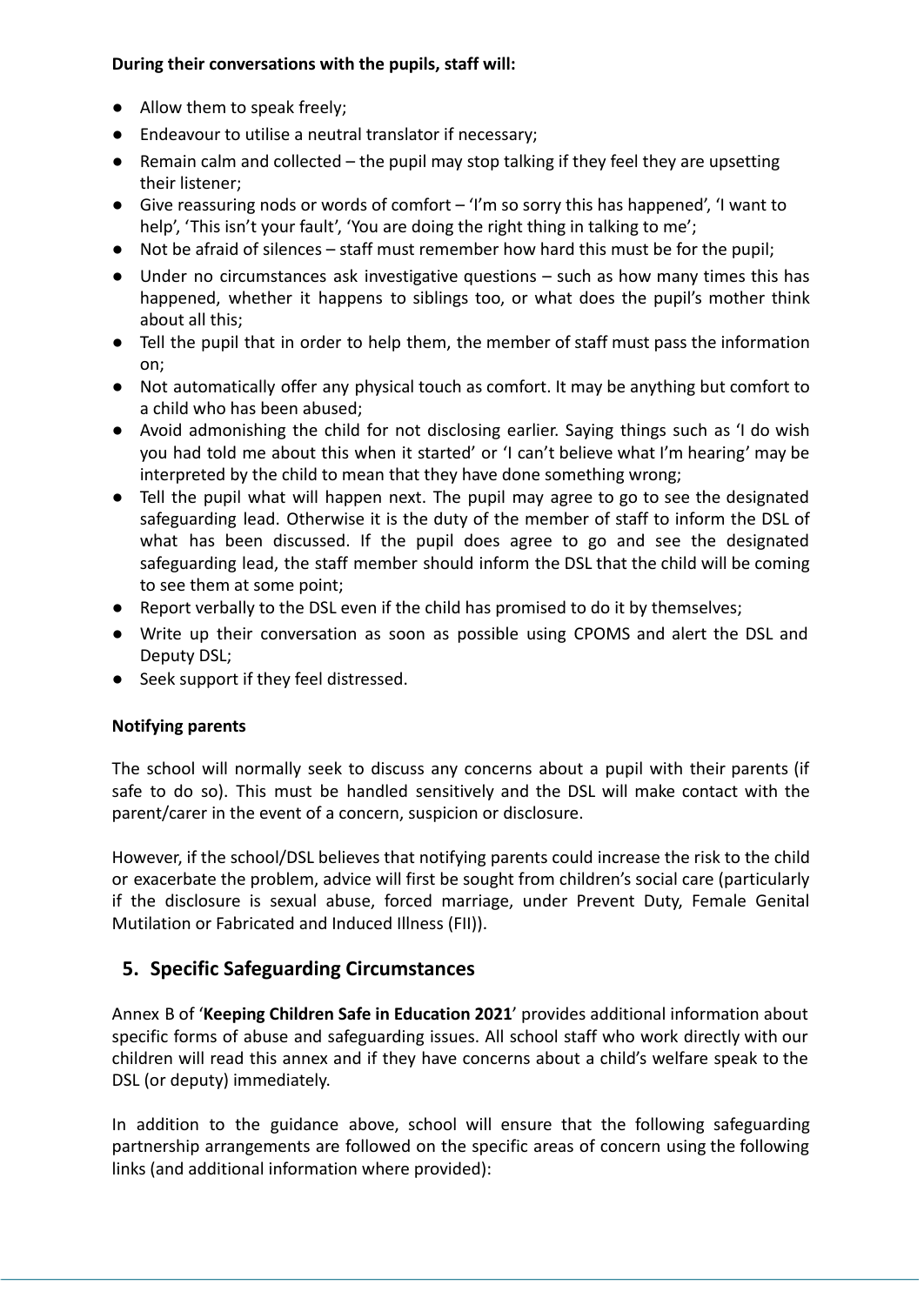#### **During their conversations with the pupils, staff will:**

- Allow them to speak freely;
- Endeavour to utilise a neutral translator if necessary;
- $\bullet$  Remain calm and collected the pupil may stop talking if they feel they are upsetting their listener;
- Give reassuring nods or words of comfort 'I'm so sorry this has happened', 'I want to help', 'This isn't your fault', 'You are doing the right thing in talking to me';
- Not be afraid of silences staff must remember how hard this must be for the pupil;
- Under no circumstances ask investigative questions such as how many times this has happened, whether it happens to siblings too, or what does the pupil's mother think about all this;
- Tell the pupil that in order to help them, the member of staff must pass the information on;
- Not automatically offer any physical touch as comfort. It may be anything but comfort to a child who has been abused;
- Avoid admonishing the child for not disclosing earlier. Saying things such as 'I do wish you had told me about this when it started' or 'I can't believe what I'm hearing' may be interpreted by the child to mean that they have done something wrong;
- Tell the pupil what will happen next. The pupil may agree to go to see the designated safeguarding lead. Otherwise it is the duty of the member of staff to inform the DSL of what has been discussed. If the pupil does agree to go and see the designated safeguarding lead, the staff member should inform the DSL that the child will be coming to see them at some point;
- Report verbally to the DSL even if the child has promised to do it by themselves;
- Write up their conversation as soon as possible using CPOMS and alert the DSL and Deputy DSL;
- Seek support if they feel distressed.

#### **Notifying parents**

The school will normally seek to discuss any concerns about a pupil with their parents (if safe to do so). This must be handled sensitively and the DSL will make contact with the parent/carer in the event of a concern, suspicion or disclosure.

However, if the school/DSL believes that notifying parents could increase the risk to the child or exacerbate the problem, advice will first be sought from children's social care (particularly if the disclosure is sexual abuse, forced marriage, under Prevent Duty, Female Genital Mutilation or Fabricated and Induced Illness (FII)).

## <span id="page-11-0"></span>**5. Specific Safeguarding Circumstances**

Annex B of '**Keeping Children Safe in [Education](https://www.gov.uk/government/publications/keeping-children-safe-in-education--2) 2021**' provides additional information about specific forms of abuse and safeguarding issues. All school staff who work directly with our children will read this annex and if they have concerns about a child's welfare speak to the DSL (or deputy) immediately.

In addition to the guidance above, school will ensure that the following safeguarding partnership arrangements are followed on the specific areas of concern using the following links (and additional information where provided):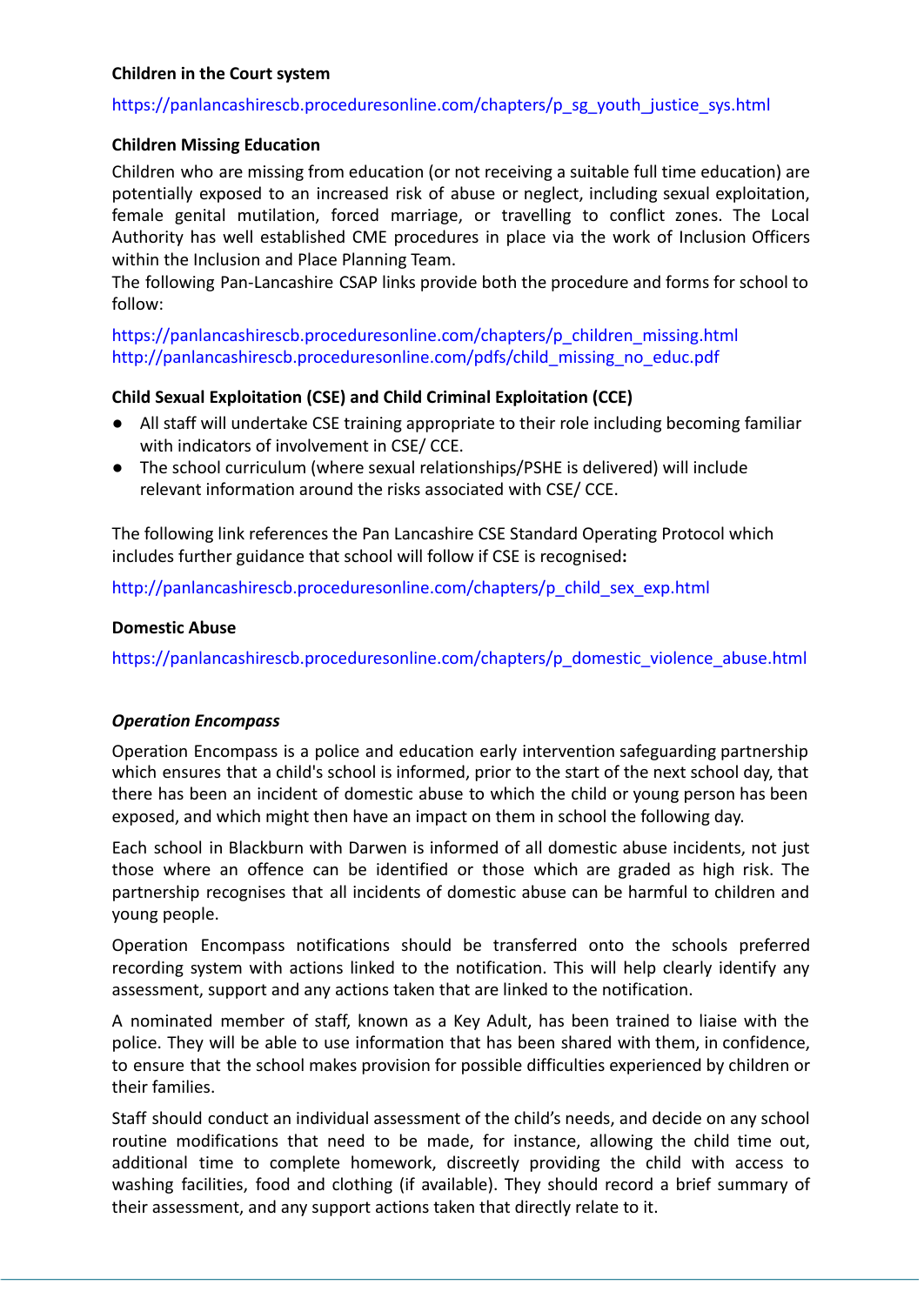#### **Children in the Court system**

#### [https://panlancashirescb.proceduresonline.com/chapters/p\\_sg\\_youth\\_justice\\_sys.html](https://panlancashirescb.proceduresonline.com/chapters/p_sg_youth_justice_sys.html)

#### **Children Missing Education**

Children who are missing from education (or not receiving a suitable full time education) are potentially exposed to an increased risk of abuse or neglect, including sexual exploitation, female genital mutilation, forced marriage, or travelling to conflict zones. The Local Authority has well established CME procedures in place via the work of Inclusion Officers within the Inclusion and Place Planning Team.

The following Pan-Lancashire CSAP links provide both the procedure and forms for school to follow:

[https://panlancashirescb.proceduresonline.com/chapters/p\\_children\\_missing.html](https://panlancashirescb.proceduresonline.com/chapters/p_children_missing.html) [http://panlancashirescb.proceduresonline.com/pdfs/child\\_missing\\_no\\_educ.pdf](http://panlancashirescb.proceduresonline.com/pdfs/child_missing_no_educ.pdf)

#### **Child Sexual Exploitation (CSE) and Child Criminal Exploitation (CCE)**

- All staff will undertake CSE training appropriate to their role including becoming familiar with indicators of involvement in CSE/ CCE.
- The school curriculum (where sexual relationships/PSHE is delivered) will include relevant information around the risks associated with CSE/ CCE.

The following link references the Pan Lancashire CSE Standard Operating Protocol which includes further guidance that school will follow if CSE is recognised**:**

[http://panlancashirescb.proceduresonline.com/chapters/p\\_child\\_sex\\_exp.html](http://panlancashirescb.proceduresonline.com/chapters/p_child_sex_exp.html)

#### **Domestic Abuse**

[https://panlancashirescb.proceduresonline.com/chapters/p\\_domestic\\_violence\\_abuse.html](https://panlancashirescb.proceduresonline.com/chapters/p_domestic_violence_abuse.html)

#### *Operation Encompass*

Operation Encompass is a police and education early intervention safeguarding partnership which ensures that a child's school is informed, prior to the start of the next school day, that there has been an incident of domestic abuse to which the child or young person has been exposed, and which might then have an impact on them in school the following day.

Each school in Blackburn with Darwen is informed of all domestic abuse incidents, not just those where an offence can be identified or those which are graded as high risk. The partnership recognises that all incidents of domestic abuse can be harmful to children and young people.

Operation Encompass notifications should be transferred onto the schools preferred recording system with actions linked to the notification. This will help clearly identify any assessment, support and any actions taken that are linked to the notification.

A nominated member of staff, known as a Key Adult, has been trained to liaise with the police. They will be able to use information that has been shared with them, in confidence, to ensure that the school makes provision for possible difficulties experienced by children or their families.

Staff should conduct an individual assessment of the child's needs, and decide on any school routine modifications that need to be made, for instance, allowing the child time out, additional time to complete homework, discreetly providing the child with access to washing facilities, food and clothing (if available). They should record a brief summary of their assessment, and any support actions taken that directly relate to it.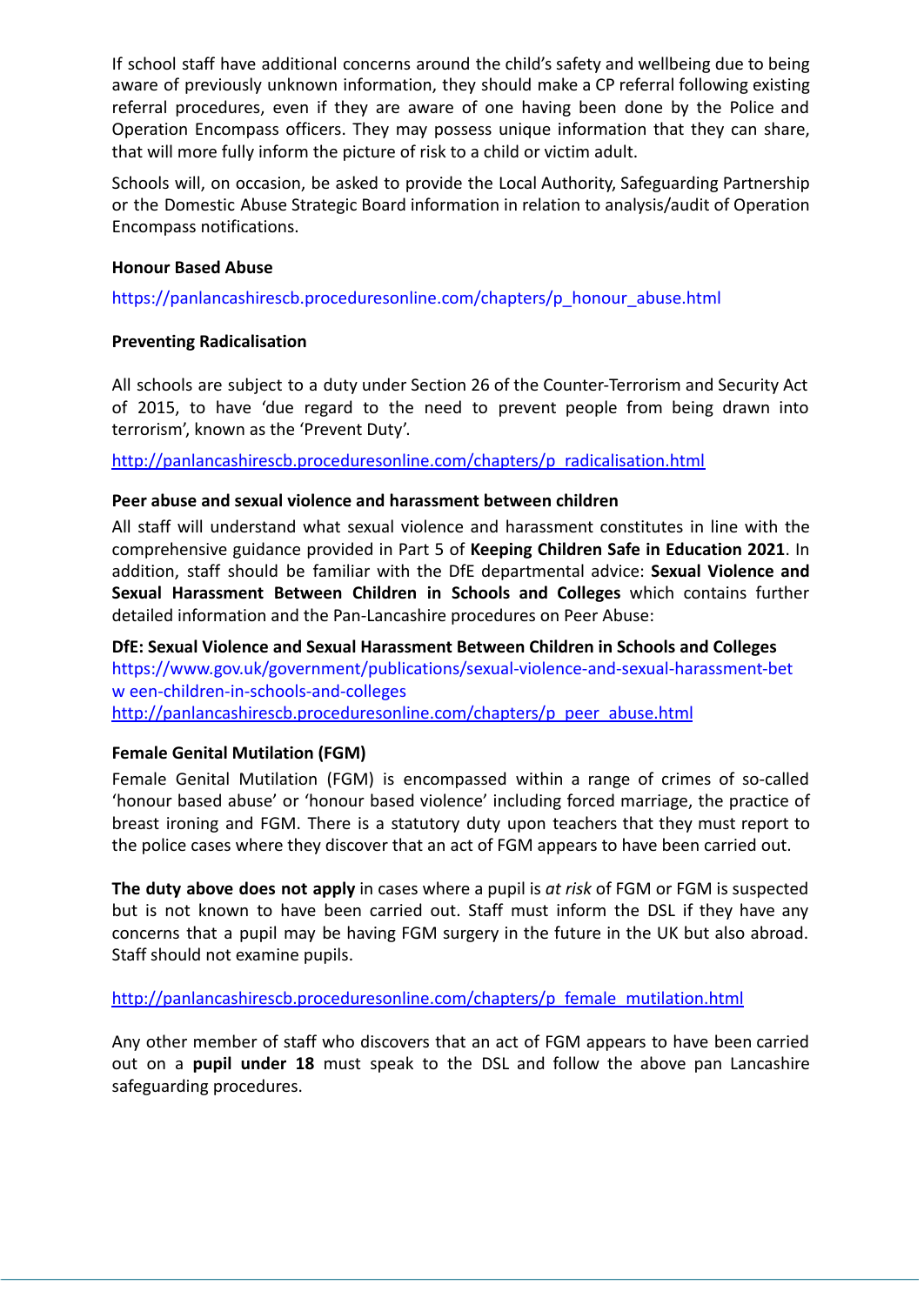If school staff have additional concerns around the child's safety and wellbeing due to being aware of previously unknown information, they should make a CP referral following existing referral procedures, even if they are aware of one having been done by the Police and Operation Encompass officers. They may possess unique information that they can share, that will more fully inform the picture of risk to a child or victim adult.

Schools will, on occasion, be asked to provide the Local Authority, Safeguarding Partnership or the Domestic Abuse Strategic Board information in relation to analysis/audit of Operation Encompass notifications.

#### **Honour Based Abuse**

[https://panlancashirescb.proceduresonline.com/chapters/p\\_honour\\_abuse.html](https://panlancashirescb.proceduresonline.com/chapters/p_honour_abuse.html)

#### **Preventing Radicalisation**

All schools are subject to a duty under Section 26 of the Counter-Terrorism and Security Act of 2015, to have 'due regard to the need to prevent people from being drawn into terrorism', known as the 'Prevent Duty'.

[http://panlancashirescb.proceduresonline.com/chapters/p\\_radicalisation.html](http://panlancashirescb.proceduresonline.com/chapters/p_radicalisation.html)

#### **Peer abuse and sexual violence and harassment between children**

All staff will understand what sexual violence and harassment constitutes in line with the comprehensive guidance provided in Part 5 of **Keeping Children Safe in Education 2021**. In addition, staff should be familiar with the DfE departmental advice: **Sexual Violence and Sexual Harassment Between Children in Schools and Colleges** which contains further detailed information and the Pan-Lancashire procedures on Peer Abuse:

**DfE: Sexual Violence and Sexual Harassment Between Children in Schools and Colleges** [https://www.gov.uk/government/publications/sexual-violence-and-sexual-harassment-bet](https://www.gov.uk/government/publications/sexual-violence-and-sexual-harassment-between-children-in-schools-and-colleges) [w](https://www.gov.uk/government/publications/sexual-violence-and-sexual-harassment-between-children-in-schools-and-colleges) [een-children-in-schools-and-colleges](https://www.gov.uk/government/publications/sexual-violence-and-sexual-harassment-between-children-in-schools-and-colleges) [http://panlancashirescb.proceduresonline.com/chapters/p\\_peer\\_abuse.html](http://panlancashirescb.proceduresonline.com/chapters/p_peer_abuse.html)

#### **Female Genital Mutilation (FGM)**

Female Genital Mutilation (FGM) is encompassed within a range of crimes of so-called 'honour based abuse' or 'honour based violence' including forced marriage, the practice of breast ironing and FGM. There is a statutory duty upon teachers that they must report to the police cases where they discover that an act of FGM appears to have been carried out.

**The duty above does not apply** in cases where a pupil is *at risk* of FGM or FGM is suspected but is not known to have been carried out. Staff must inform the DSL if they have any concerns that a pupil may be having FGM surgery in the future in the UK but also abroad. Staff should not examine pupils.

#### [http://panlancashirescb.proceduresonline.com/chapters/p\\_female\\_mutilation.html](http://panlancashirescb.proceduresonline.com/chapters/p_female_mutilation.html)

Any other member of staff who discovers that an act of FGM appears to have been carried out on a **pupil under 18** must speak to the DSL and follow the above pan Lancashire safeguarding procedures.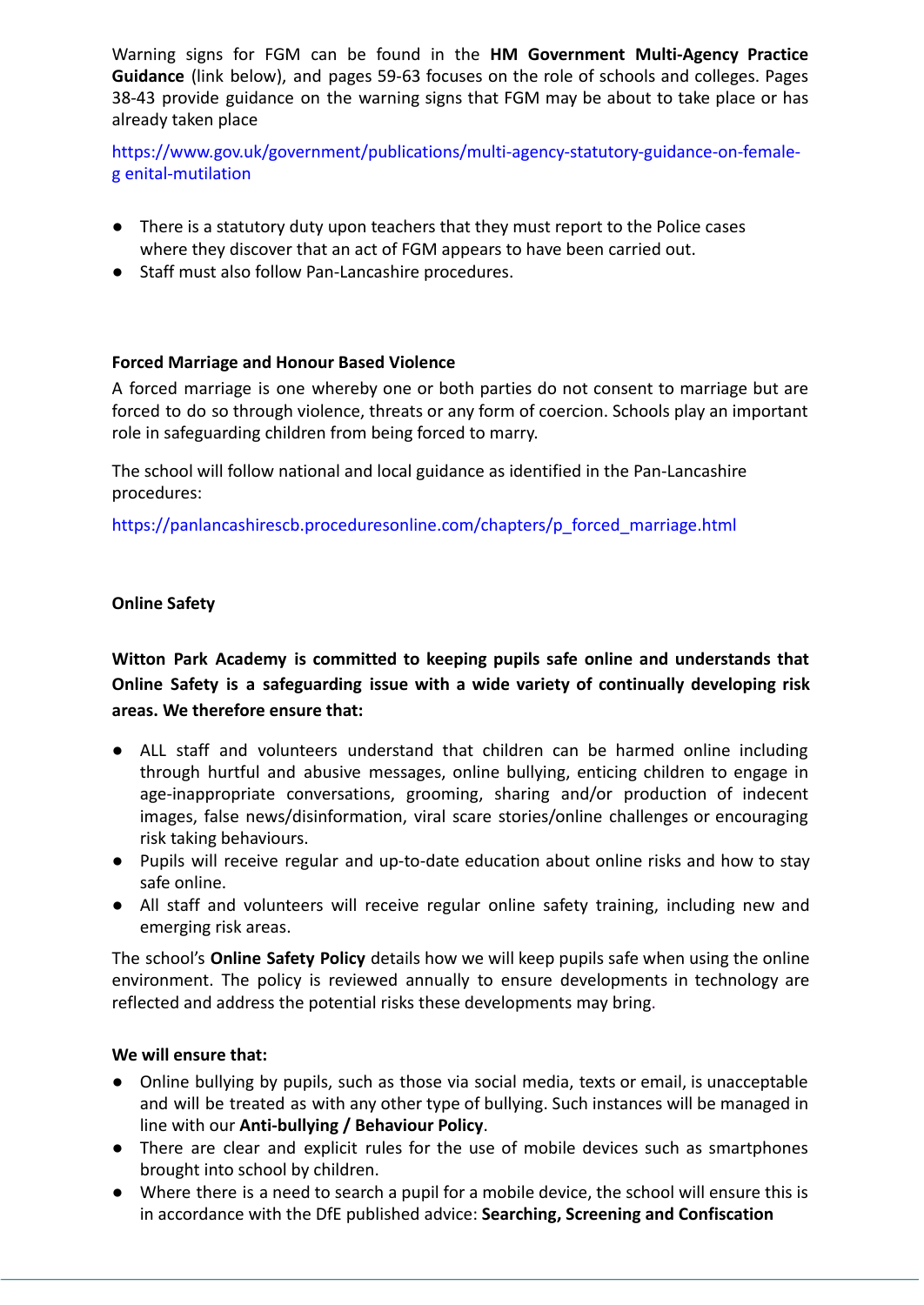Warning signs for FGM can be found in the **HM Government Multi-Agency Practice Guidance** (link below), and pages 59-63 focuses on the role of schools and colleges. Pages 38-43 provide guidance on the warning signs that FGM may be about to take place or has already taken place

[https://www.gov.uk/government/publications/multi-agency-statutory-guidance-on-female](https://www.gov.uk/government/publications/multi-agency-statutory-guidance-on-female-genital-mutilation)[g](https://www.gov.uk/government/publications/multi-agency-statutory-guidance-on-female-genital-mutilation) [enital-mutilation](https://www.gov.uk/government/publications/multi-agency-statutory-guidance-on-female-genital-mutilation)

- There is a statutory duty upon teachers that they must report to the Police cases where they discover that an act of FGM appears to have been carried out.
- Staff must also follow Pan-Lancashire procedures.

#### **Forced Marriage and Honour Based Violence**

A forced marriage is one whereby one or both parties do not consent to marriage but are forced to do so through violence, threats or any form of coercion. Schools play an important role in safeguarding children from being forced to marry.

The school will follow national and local guidance as identified in the Pan-Lancashire procedures:

[https://panlancashirescb.proceduresonline.com/chapters/p\\_forced\\_marriage.html](https://panlancashirescb.proceduresonline.com/chapters/p_forced_marriage.html)

#### **Online Safety**

**Witton Park Academy is committed to keeping pupils safe online and understands that Online Safety is a safeguarding issue with a wide variety of continually developing risk areas. We therefore ensure that:**

- ALL staff and volunteers understand that children can be harmed online including through hurtful and abusive messages, online bullying, enticing children to engage in age-inappropriate conversations, grooming, sharing and/or production of indecent images, false news/disinformation, viral scare stories/online challenges or encouraging risk taking behaviours.
- Pupils will receive regular and up-to-date education about online risks and how to stay safe online.
- All staff and volunteers will receive regular online safety training, including new and emerging risk areas.

The school's **Online Safety [Policy](https://witton.atctrust.org.uk/wp-content/uploads/E-Learning-and-E-Safety-Policy-2018.pdf)** details how we will keep pupils safe when using the online environment. The policy is reviewed annually to ensure developments in technology are reflected and address the potential risks these developments may bring.

#### **We will ensure that:**

- Online bullying by pupils, such as those via social media, texts or email, is unacceptable and will be treated as with any other type of bullying. Such instances will be managed in line with our **[Anti-bullying / Behaviour Policy](https://www.gov.uk/bullying-at-school)**.
- There are clear and explicit rules for the use of mobile devices such as smartphones brought into school by children.
- **●** Where there is a need to search a pupil for a mobile device, the school will ensure this is in accordance with the DfE published advice: **Searching, [Screening and Confiscation](https://www.gov.uk/government/publications/searching-screening-and-confiscation)**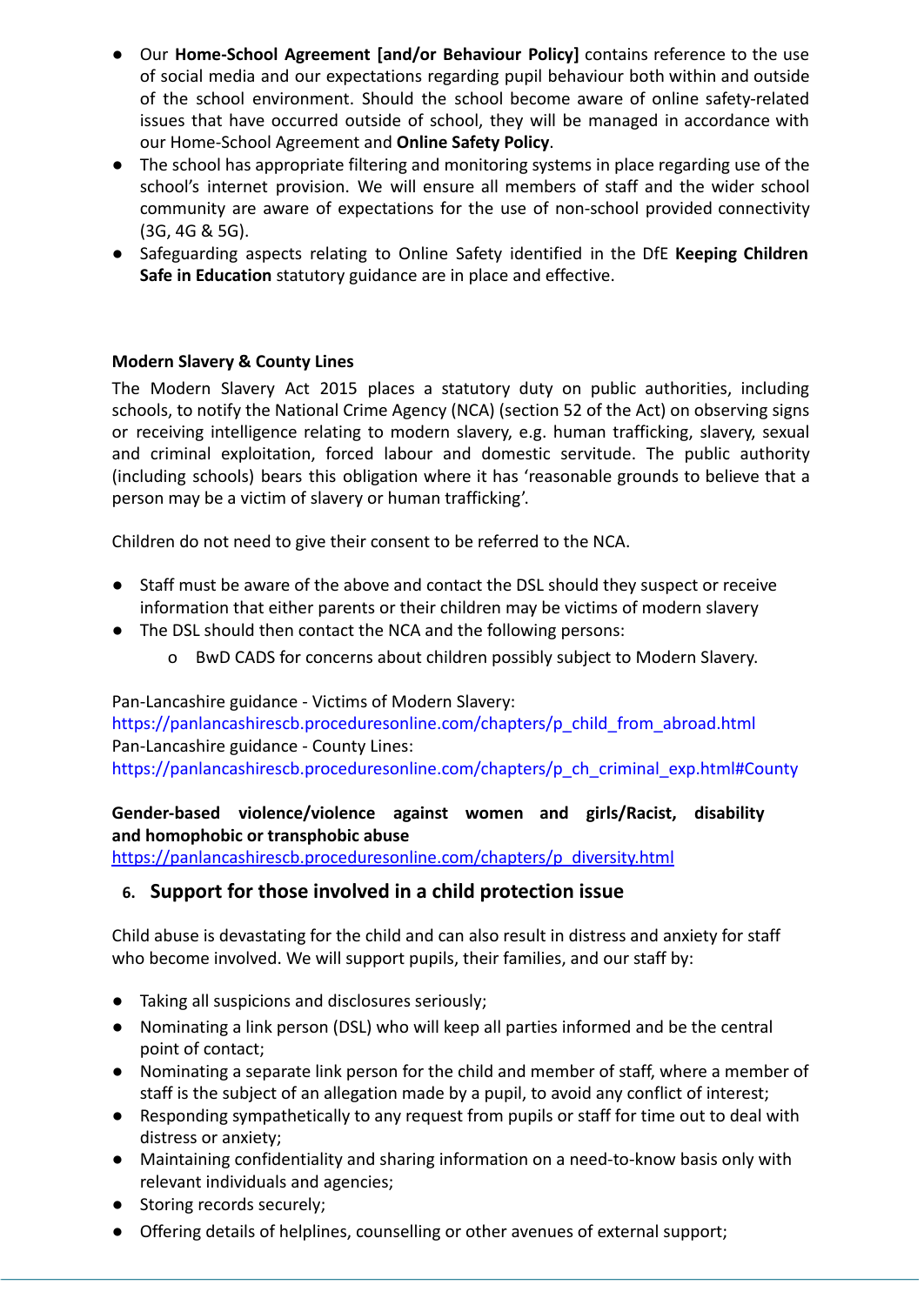- Our **Home-School Agreement [and/or Behaviour Policy]** contains reference to the use of social media and our expectations regarding pupil behaviour both within and outside of the school environment. Should the school become aware of online safety-related issues that have occurred outside of school, they will be managed in accordance with our Home-School Agreement and **Online Safety Policy**.
- The school has appropriate filtering and monitoring systems in place regarding use of the school's internet provision. We will ensure all members of staff and the wider school community are aware of expectations for the use of non-school provided connectivity (3G, 4G & 5G).
- Safeguarding aspects relating to Online Safety identified in the DfE **Keeping Children Safe in Education** statutory guidance are in place and effective.

## **Modern Slavery & County Lines**

The Modern Slavery Act 2015 places a statutory duty on public authorities, including schools, to notify the National Crime Agency (NCA) (section 52 of the Act) on observing signs or receiving intelligence relating to modern slavery, e.g. human trafficking, slavery, sexual and criminal exploitation, forced labour and domestic servitude. The public authority (including schools) bears this obligation where it has 'reasonable grounds to believe that a person may be a victim of slavery or human trafficking'.

Children do not need to give their consent to be referred to the NCA.

- Staff must be aware of the above and contact the DSL should they suspect or receive information that either parents or their children may be victims of modern slavery
- The DSL should then contact the NCA and the following persons:
	- o BwD CADS for concerns about children possibly subject to Modern Slavery.

Pan-Lancashire guidance - Victims of Modern Slavery:

[https://panlancashirescb.proceduresonline.com/chapters/p\\_child\\_from\\_abroad.html](https://panlancashirescb.proceduresonline.com/chapters/p_child_from_abroad.html) Pan-Lancashire guidance - County Lines:

[https://panlancashirescb.proceduresonline.com/chapters/p\\_ch\\_criminal\\_exp.html#County](https://panlancashirescb.proceduresonline.com/chapters/p_ch_criminal_exp.html#County)

## **Gender-based violence/violence against women and girls/Racist, disability and homophobic or transphobic abuse**

<span id="page-15-0"></span>[https://panlancashirescb.proceduresonline.com/chapters/p\\_diversity.html](https://panlancashirescb.proceduresonline.com/chapters/p_diversity.html)

## **6. Support for those involved in a child protection issue**

Child abuse is devastating for the child and can also result in distress and anxiety for staff who become involved. We will support pupils, their families, and our staff by:

- Taking all suspicions and disclosures seriously;
- Nominating a link person (DSL) who will keep all parties informed and be the central point of contact;
- Nominating a separate link person for the child and member of staff, where a member of staff is the subject of an allegation made by a pupil, to avoid any conflict of interest;
- Responding sympathetically to any request from pupils or staff for time out to deal with distress or anxiety;
- Maintaining confidentiality and sharing information on a need-to-know basis only with relevant individuals and agencies;
- Storing records securely;
- Offering details of helplines, counselling or other avenues of external support;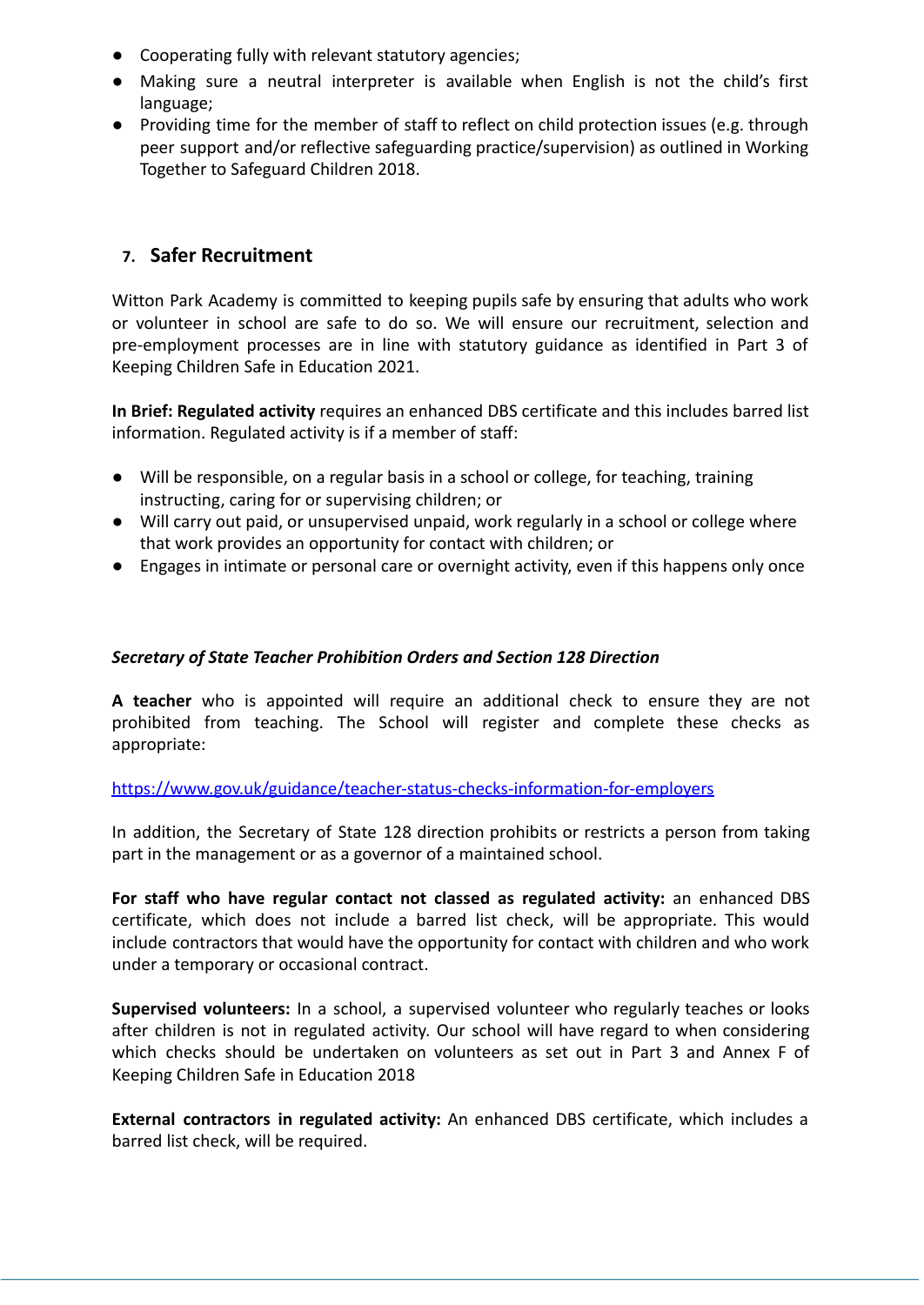- Cooperating fully with relevant statutory agencies;
- Making sure a neutral interpreter is available when English is not the child's first language;
- Providing time for the member of staff to reflect on child protection issues (e.g. through peer support and/or reflective safeguarding practice/supervision) as outlined in Working Together to Safeguard Children 2018.

## <span id="page-16-0"></span>**7. Safer Recruitment**

Witton Park Academy is committed to keeping pupils safe by ensuring that adults who work or volunteer in school are safe to do so. We will ensure our recruitment, selection and pre-employment processes are in line with statutory guidance as identified in Part 3 of Keeping Children Safe in Education 2021.

**In Brief: Regulated activity** requires an enhanced DBS certificate and this includes barred list information. Regulated activity is if a member of staff:

- Will be responsible, on a regular basis in a school or college, for teaching, training instructing, caring for or supervising children; or
- Will carry out paid, or unsupervised unpaid, work regularly in a school or college where that work provides an opportunity for contact with children; or
- Engages in intimate or personal care or overnight activity, even if this happens only once

#### *Secretary of State Teacher Prohibition Orders and Section 128 Direction*

**A teacher** who is appointed will require an additional check to ensure they are not prohibited from teaching. The School will register and complete these checks as appropriate:

#### <https://www.gov.uk/guidance/teacher-status-checks-information-for-employers>

In addition, the Secretary of State 128 direction prohibits or restricts a person from taking part in the management or as a governor of a maintained school.

**For staff who have regular contact not classed as regulated activity:** an enhanced DBS certificate, which does not include a barred list check, will be appropriate. This would include contractors that would have the opportunity for contact with children and who work under a temporary or occasional contract.

**Supervised volunteers:** In a school, a supervised volunteer who regularly teaches or looks after children is not in regulated activity. Our school will have regard to when considering which checks should be undertaken on volunteers as set out in Part 3 and Annex F of Keeping Children Safe in Education 2018

**External contractors in regulated activity:** An enhanced DBS certificate, which includes a barred list check, will be required.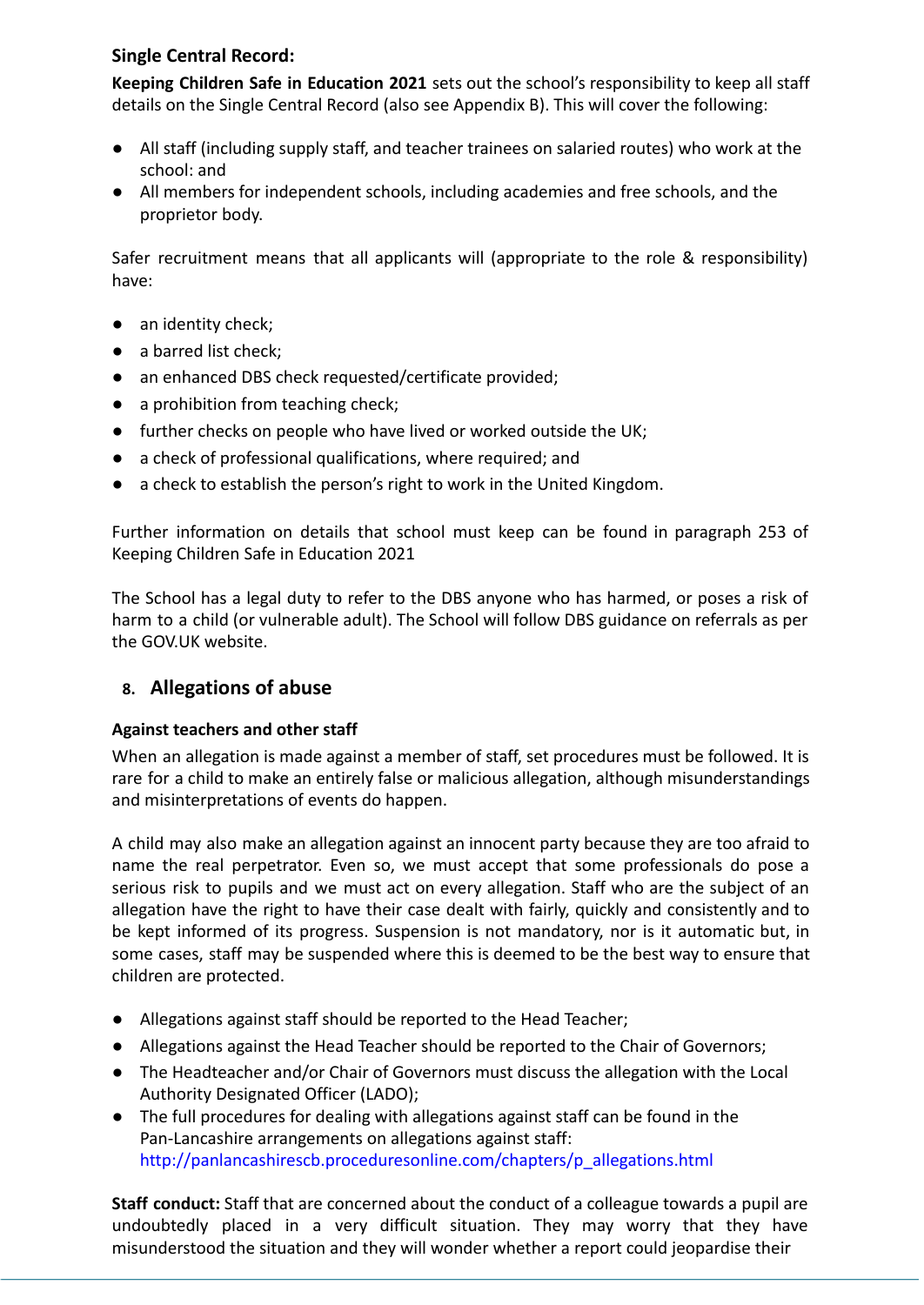## **Single Central Record:**

**Keeping Children Safe in [Education](https://www.gov.uk/government/publications/keeping-children-safe-in-education--2) 2021** sets out the school's responsibility to keep all staff details on the Single Central Record (also see Appendix B). This will cover the following:

- All staff (including supply staff, and teacher trainees on salaried routes) who work at the school: and
- All members for independent schools, including academies and free schools, and the proprietor body.

Safer recruitment means that all applicants will (appropriate to the role & responsibility) have:

- an identity check;
- a barred list check;
- an enhanced DBS check requested/certificate provided;
- a prohibition from teaching check;
- further checks on people who have lived or worked outside the UK;
- a check of professional qualifications, where required; and
- a check to establish the person's right to work in the United Kingdom.

Further information on details that school must keep can be found in paragraph 253 of Keeping Children Safe in Education 2021

The School has a legal duty to refer to the DBS anyone who has harmed, or poses a risk of harm to a child (or vulnerable adult). The School will follow DBS guidance on referrals as per the GOV.UK website.

## <span id="page-17-0"></span>**8. Allegations of abuse**

## **Against teachers and other staff**

When an allegation is made against a member of staff, set procedures must be followed. It is rare for a child to make an entirely false or malicious allegation, although misunderstandings and misinterpretations of events do happen.

A child may also make an allegation against an innocent party because they are too afraid to name the real perpetrator. Even so, we must accept that some professionals do pose a serious risk to pupils and we must act on every allegation. Staff who are the subject of an allegation have the right to have their case dealt with fairly, quickly and consistently and to be kept informed of its progress. Suspension is not mandatory, nor is it automatic but, in some cases, staff may be suspended where this is deemed to be the best way to ensure that children are protected.

- Allegations against staff should be reported to the Head Teacher;
- Allegations against the Head Teacher should be reported to the Chair of Governors;
- The Headteacher and/or Chair of Governors must discuss the allegation with the Local Authority Designated Officer (LADO);
- The full procedures for dealing with allegations against staff can be found in the Pan-Lancashire arrangements on allegations against staff[:](http://panlancashirescb.proceduresonline.com/chapters/p_allegations.html) [http://panlancashirescb.proceduresonline.com/chapters/p\\_allegations.html](http://panlancashirescb.proceduresonline.com/chapters/p_allegations.html)

**Staff conduct:** Staff that are concerned about the conduct of a colleague towards a pupil are undoubtedly placed in a very difficult situation. They may worry that they have misunderstood the situation and they will wonder whether a report could jeopardise their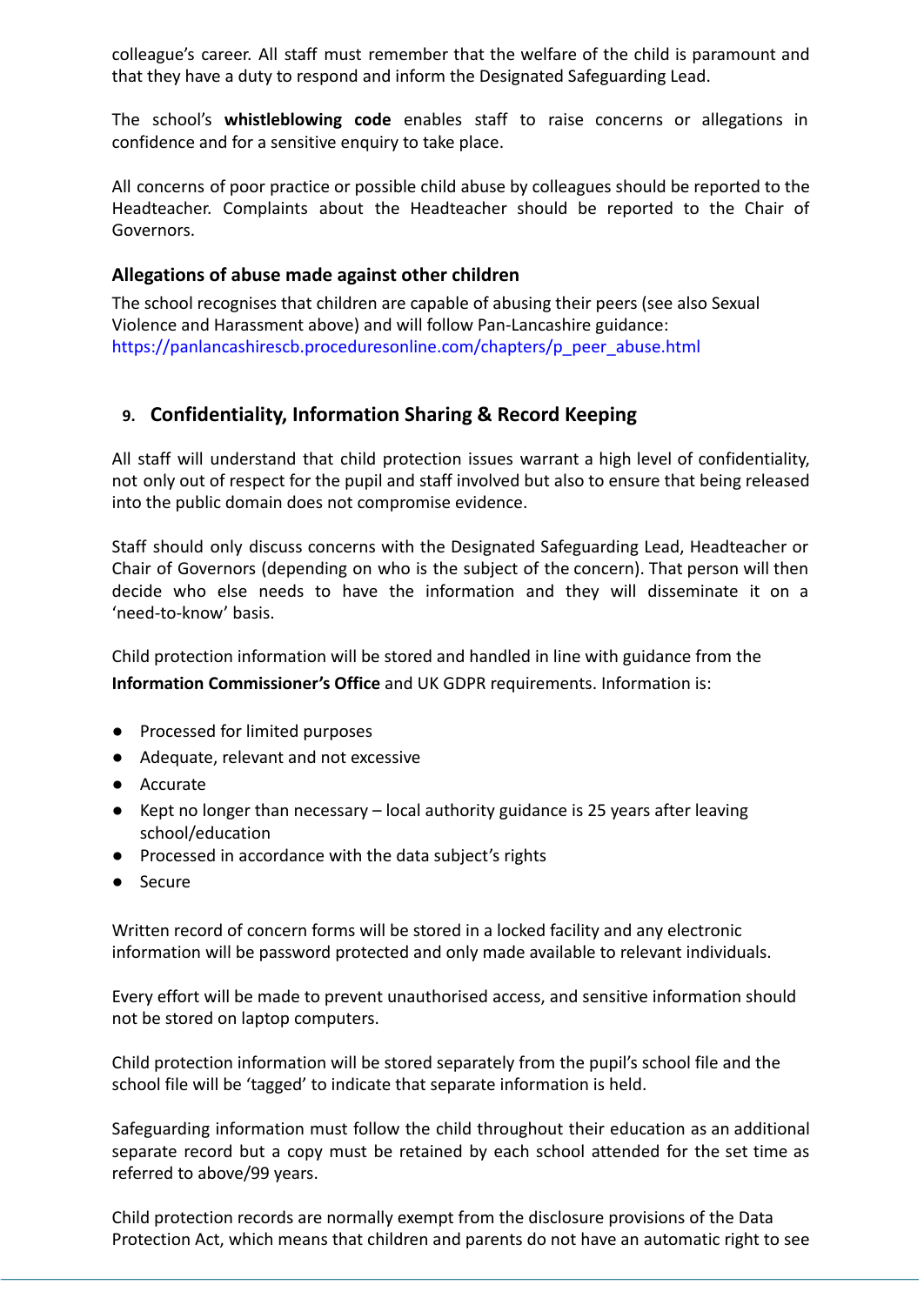colleague's career. All staff must remember that the welfare of the child is paramount and that they have a duty to respond and inform the Designated Safeguarding Lead.

The school's **[whistleblowing](https://atctrust.org.uk/wp-content/uploads/AtC-Whistleblowing-policy-Nov-2020-5.pdf) code** enables staff to raise concerns or allegations in confidence and for a sensitive enquiry to take place.

All concerns of poor practice or possible child abuse by colleagues should be reported to the Headteacher. Complaints about the Headteacher should be reported to the Chair of Governors.

## **Allegations of abuse made against other children**

The school recognises that children are capable of abusing their peers (see also Sexual Violence and Harassment above) and will follow Pan-Lancashire guidance: [https://panlancashirescb.proceduresonline.com/chapters/p\\_peer\\_abuse.html](https://panlancashirescb.proceduresonline.com/chapters/p_peer_abuse.html)

## <span id="page-18-0"></span>**9. Confidentiality, Information Sharing & Record Keeping**

All staff will understand that child protection issues warrant a high level of confidentiality, not only out of respect for the pupil and staff involved but also to ensure that being released into the public domain does not compromise evidence.

Staff should only discuss concerns with the Designated Safeguarding Lead, Headteacher or Chair of Governors (depending on who is the subject of the concern). That person will then decide who else needs to have the information and they will disseminate it on a 'need-to-know' basis.

Child protection information will be stored and handled in line with guidance from the **[Information Commissioner's Office](https://ico.org.uk/your-data-matters/schools/)** and UK GDPR requirements. Information is:

- Processed for limited purposes
- Adequate, relevant and not excessive
- Accurate
- Kept no longer than necessary local authority guidance is 25 years after leaving school/education
- Processed in accordance with the data subject's rights
- Secure

Written record of concern forms will be stored in a locked facility and any electronic information will be password protected and only made available to relevant individuals.

Every effort will be made to prevent unauthorised access, and sensitive information should not be stored on laptop computers.

Child protection information will be stored separately from the pupil's school file and the school file will be 'tagged' to indicate that separate information is held.

Safeguarding information must follow the child throughout their education as an additional separate record but a copy must be retained by each school attended for the set time as referred to above/99 years.

Child protection records are normally exempt from the disclosure provisions of the Data Protection Act, which means that children and parents do not have an automatic right to see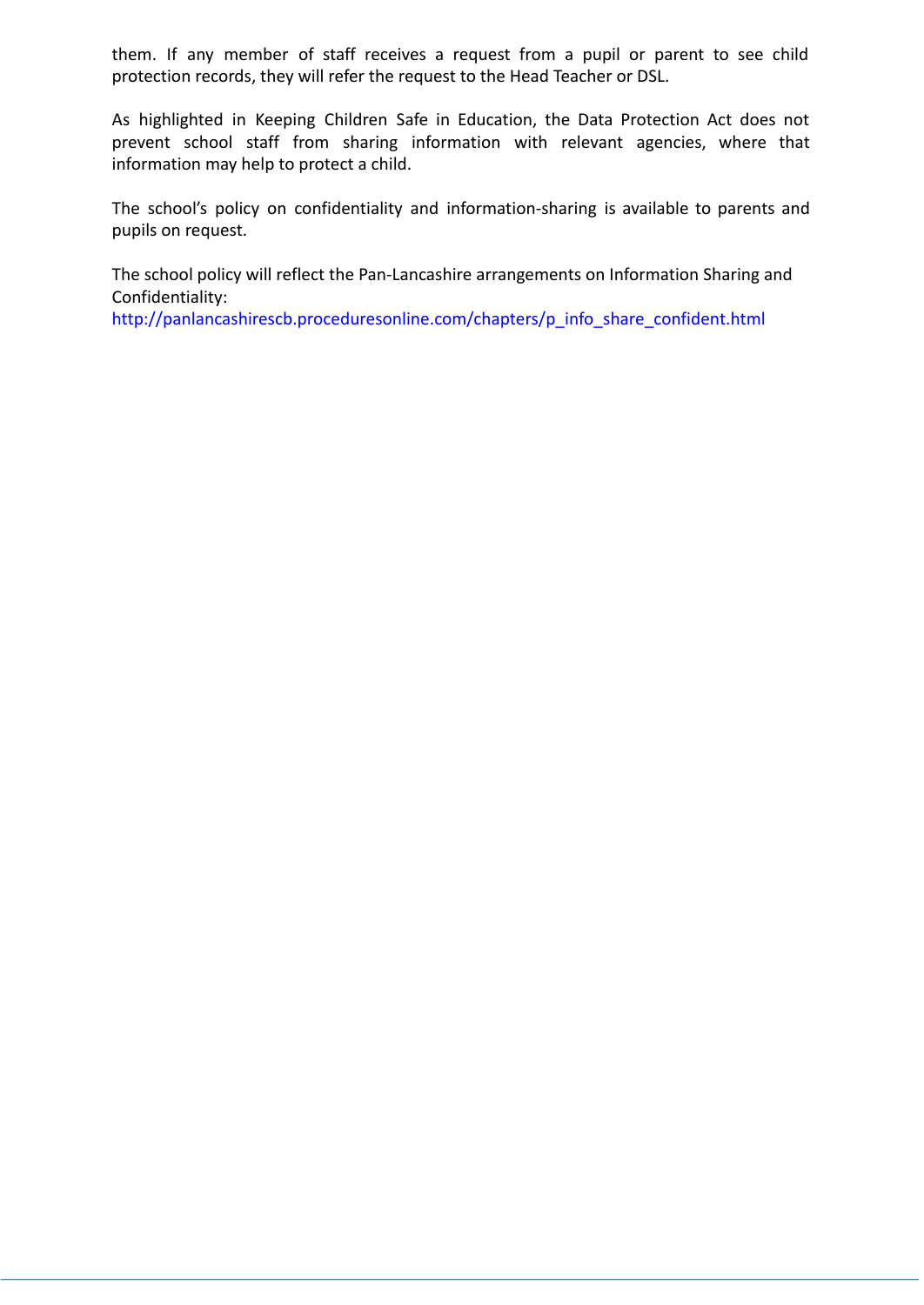them. If any member of staff receives a request from a pupil or parent to see child protection records, they will refer the request to the Head Teacher or DSL.

As highlighted in Keeping Children Safe in Education, the Data Protection Act does not prevent school staff from sharing information with relevant agencies, where that information may help to protect a child.

The school's policy on confidentiality and information-sharing is available to parents and pupils on request.

The school policy will reflect the Pan-Lancashire arrangements on Information Sharing and Confidentiality:

[http://panlancashirescb.proceduresonline.com/chapters/p\\_info\\_share\\_confident.html](http://panlancashirescb.proceduresonline.com/chapters/p_info_share_confident.html)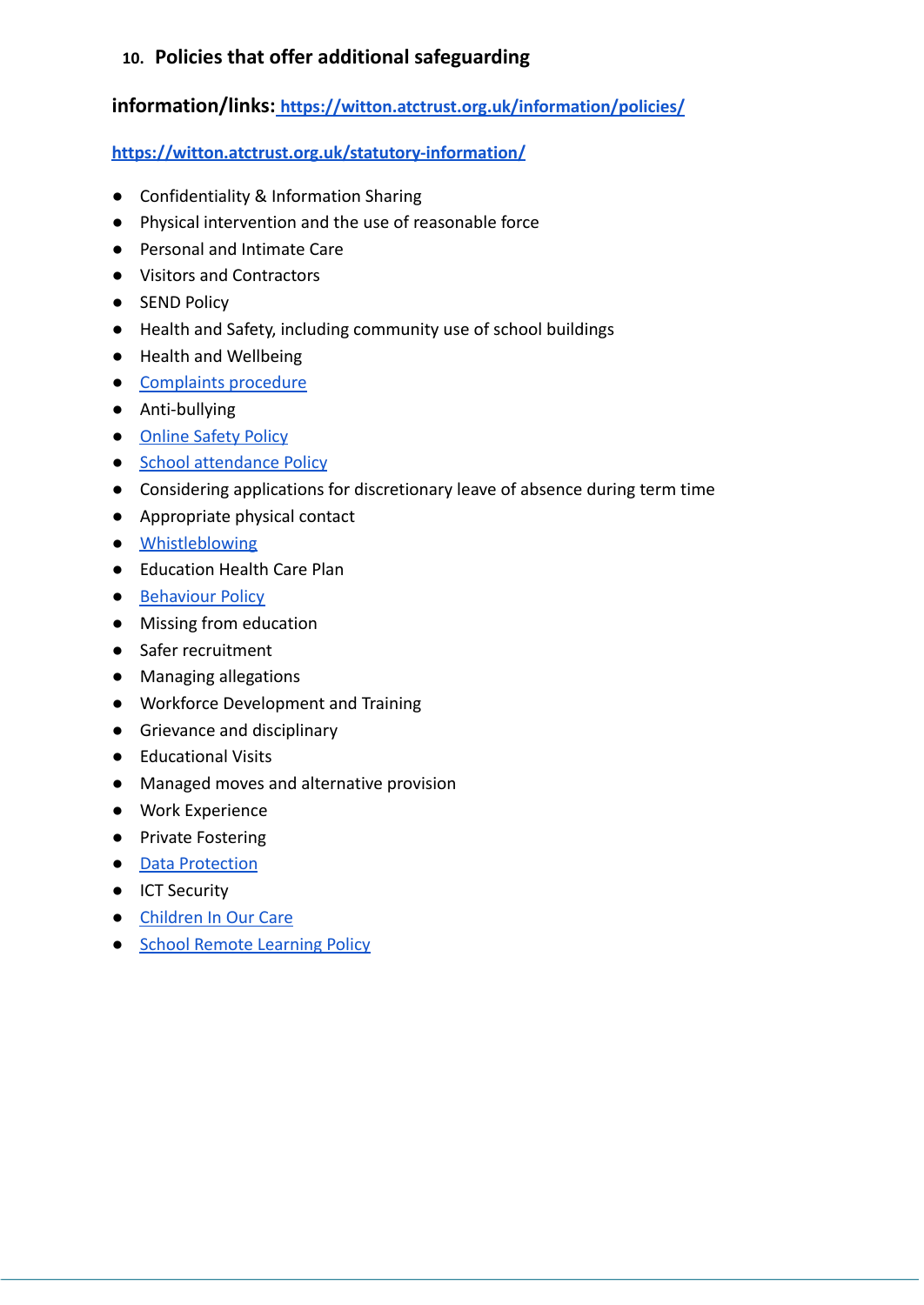## **10. Policies that offer additional safeguarding**

**information/links: <https://witton.atctrust.org.uk/information/policies/>**

## **<https://witton.atctrust.org.uk/statutory-information/>**

- Confidentiality & Information Sharing
- Physical intervention and the use of reasonable force
- Personal and Intimate Care
- Visitors and Contractors
- **SEND Policy**
- Health and Safety, including community use of school buildings
- Health and Wellbeing
- [Complaints procedure](https://atctrust.org.uk/wp-content/uploads/AtC-Complaints-Policy-2021.docx)
- Anti-bullying
- [Online Safety Policy](https://witton.atctrust.org.uk/wp-content/uploads/E-Learning-and-E-Safety-Policy-2018.pdf)
- [School attendance Policy](https://witton.atctrust.org.uk/wp-content/uploads/2021/02/Attendance-Policy-January-2020-RWJEC.docx.pdf)
- Considering applications for discretionary leave of absence during term time
- Appropriate physical contact
- [Whistleblowing](https://atctrust.org.uk/wp-content/uploads/AtC-Whistleblowing-policy-Nov-2020-5.pdf)
- Education Health Care Plan
- [Behaviour Policy](https://witton.atctrust.org.uk/wp-content/uploads/2020/10/Behaviour-Policy-September-2020.pdf)
- Missing from education
- Safer recruitment
- Managing allegations
- Workforce Development and Training
- Grievance and disciplinary
- Educational Visits
- Managed moves and alternative provision
- Work Experience
- Private Fostering
- **[Data Protection](https://atctrust.org.uk/wp-content/uploads/Data-Protection-Policy-FINAL.docx)**
- ICT Security
- [Children In Our Care](https://witton.atctrust.org.uk/wp-content/uploads/Children-in-Our-Care-Policy-2018.pdf)
- [School Remote Learning Policy](https://witton.atctrust.org.uk/wp-content/uploads/2021/01/Witton-Park-Remote-learning-policy-2020-1.pdf)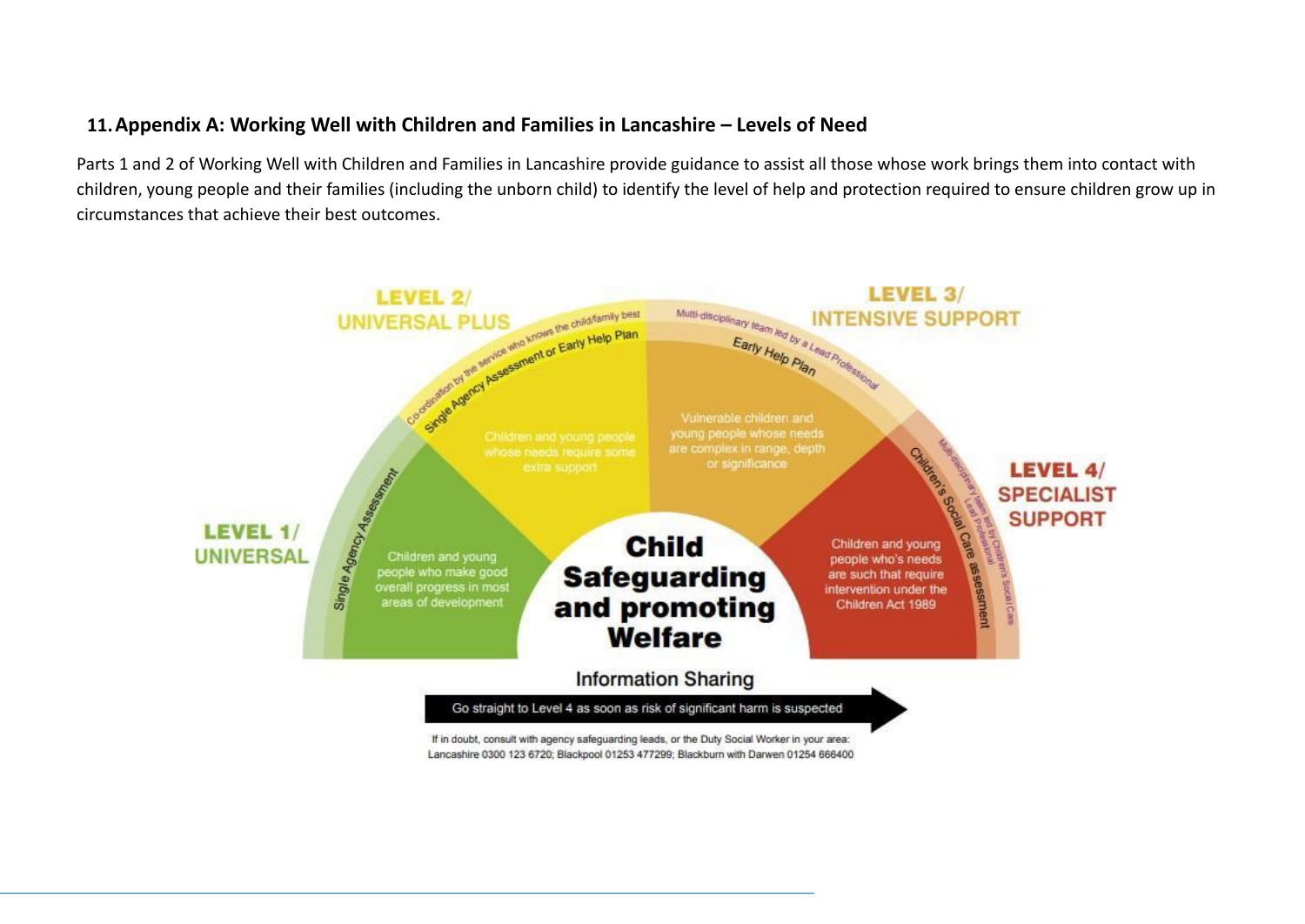## **11.Appendix A: Working Well with Children and Families in Lancashire – Levels of Need**

Parts 1 and 2 of Working Well with Children and Families in Lancashire provide guidance to assist all those whose work brings them into contact with children, young people and their families (including the unborn child) to identify the level of help and protection required to ensure children grow up in circumstances that achieve their best outcomes.



Lancashire 0300 123 6720; Blackpool 01253 477299; Blackburn with Darwen 01254 666400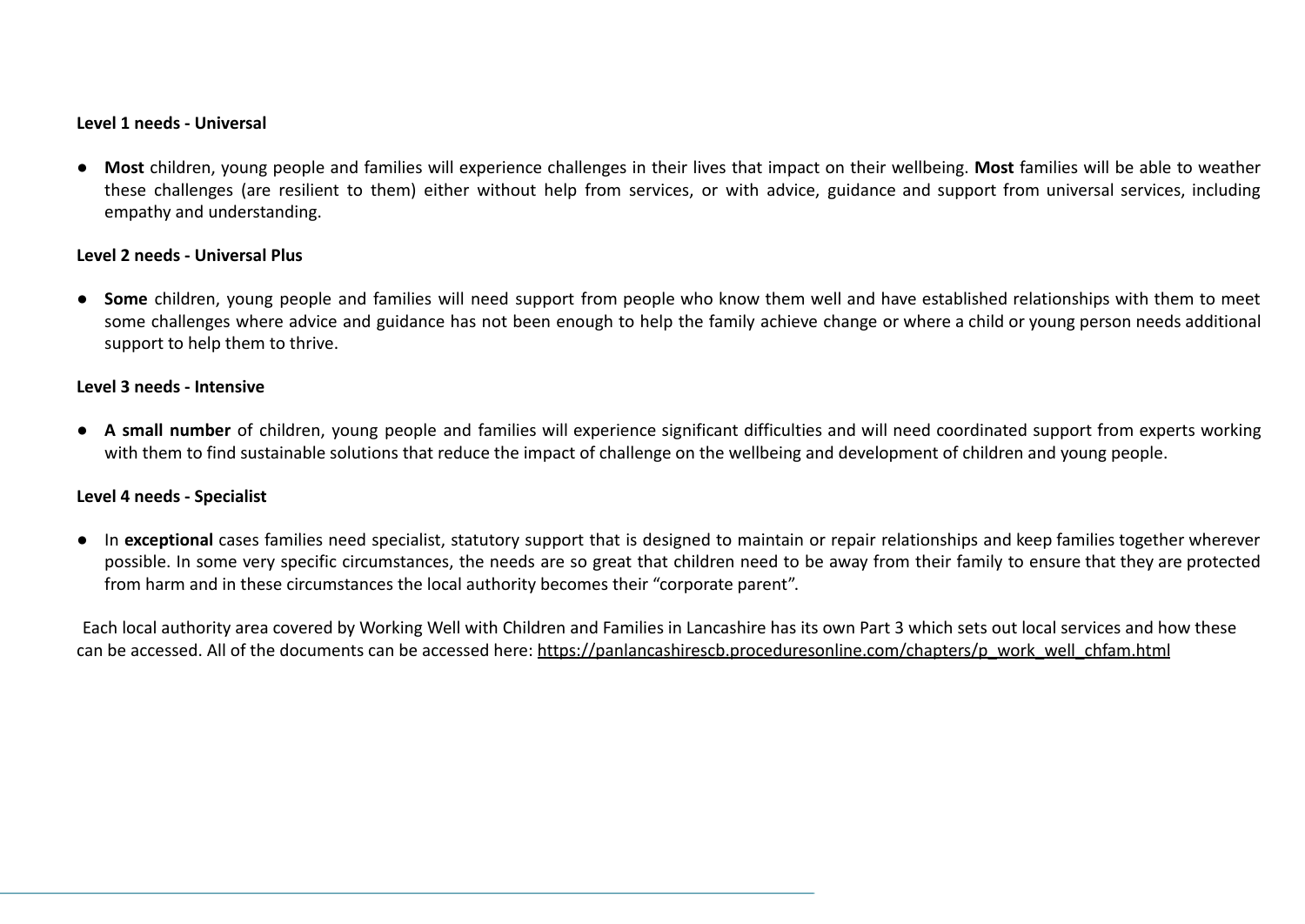#### **Level 1 needs - Universal**

● **Most** children, young people and families will experience challenges in their lives that impact on their wellbeing. **Most** families will be able to weather these challenges (are resilient to them) either without help from services, or with advice, guidance and support from universal services, including empathy and understanding.

#### **Level 2 needs - Universal Plus**

● **Some** children, young people and families will need support from people who know them well and have established relationships with them to meet some challenges where advice and guidance has not been enough to help the family achieve change or where a child or young person needs additional support to help them to thrive.

#### **Level 3 needs - Intensive**

● **A small number** of children, young people and families will experience significant difficulties and will need coordinated support from experts working with them to find sustainable solutions that reduce the impact of challenge on the wellbeing and development of children and young people.

#### **Level 4 needs - Specialist**

● In **exceptional** cases families need specialist, statutory support that is designed to maintain or repair relationships and keep families together wherever possible. In some very specific circumstances, the needs are so great that children need to be away from their family to ensure that they are protected from harm and in these circumstances the local authority becomes their "corporate parent".

Each local authority area covered by Working Well with Children and Families in Lancashire has its own Part 3 which sets out local services and how these can be accessed. All of the documents can be accessed here: [https://panlancashirescb.proceduresonline.com/chapters/p\\_work\\_well\\_chfam.html](https://panlancashirescb.proceduresonline.com/chapters/p_work_well_chfam.html)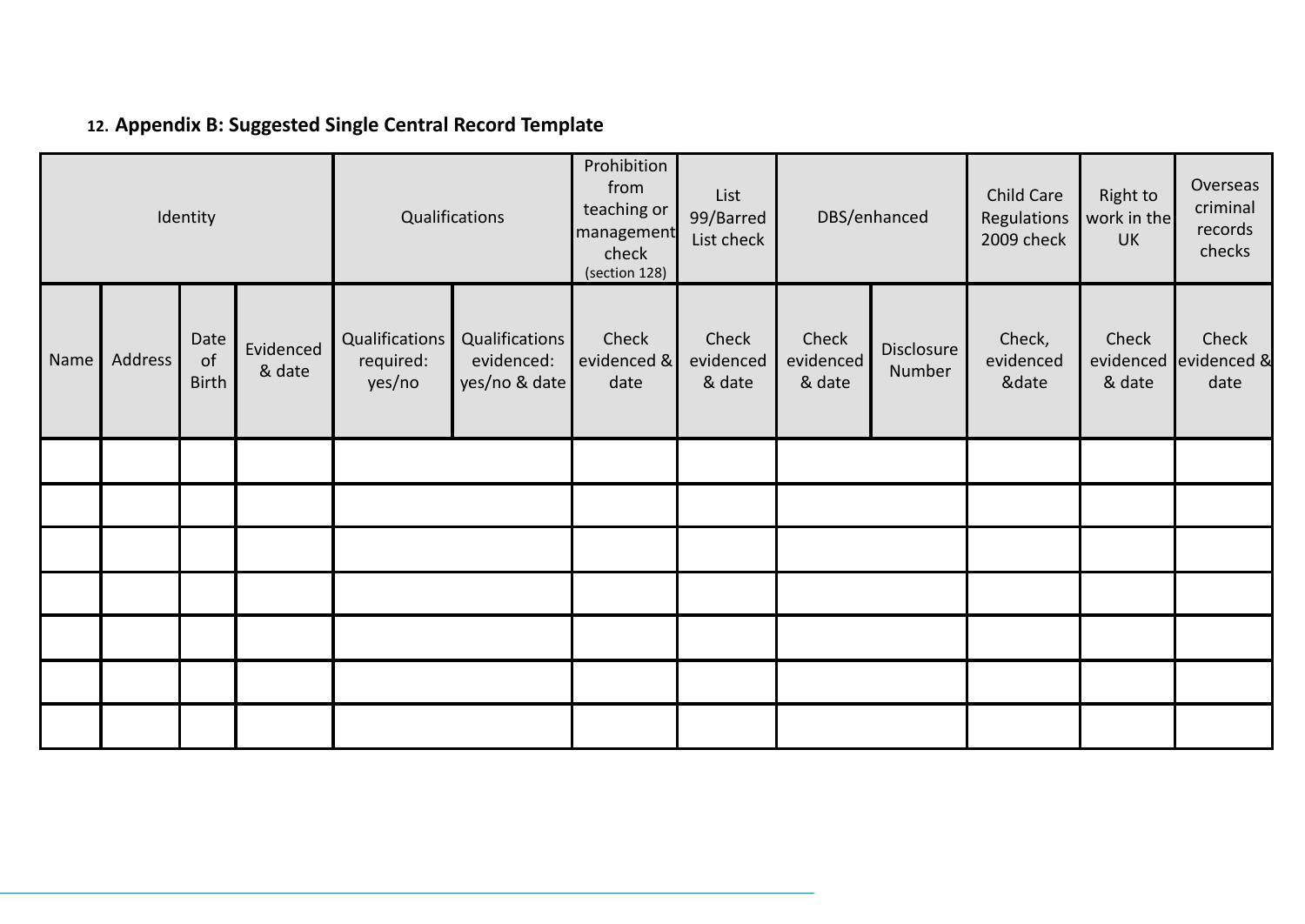## **12. Appendix B: Suggested Single Central Record Template**

<span id="page-23-0"></span>

| Identity |         |                            |                     | Qualifications                        | Prohibition<br>from<br>teaching or<br>management<br>check<br>(section 128) | List<br>99/Barred<br>List check | DBS/enhanced                 |                              | Child Care<br>Regulations<br>2009 check | Right to<br>work in the<br><b>UK</b> | Overseas<br>criminal<br>records<br>checks |                              |
|----------|---------|----------------------------|---------------------|---------------------------------------|----------------------------------------------------------------------------|---------------------------------|------------------------------|------------------------------|-----------------------------------------|--------------------------------------|-------------------------------------------|------------------------------|
| Name     | Address | Date<br>of<br><b>Birth</b> | Evidenced<br>& date | Qualifications<br>required:<br>yes/no | Qualifications<br>evidenced:<br>yes/no & date                              | Check<br>evidenced &<br>date    | Check<br>evidenced<br>& date | Check<br>evidenced<br>& date | Disclosure<br>Number                    | Check,<br>evidenced<br>&date         | Check<br>evidenced<br>& date              | Check<br>evidenced &<br>date |
|          |         |                            |                     |                                       |                                                                            |                                 |                              |                              |                                         |                                      |                                           |                              |
|          |         |                            |                     |                                       |                                                                            |                                 |                              |                              |                                         |                                      |                                           |                              |
|          |         |                            |                     |                                       |                                                                            |                                 |                              |                              |                                         |                                      |                                           |                              |
|          |         |                            |                     |                                       |                                                                            |                                 |                              |                              |                                         |                                      |                                           |                              |
|          |         |                            |                     |                                       |                                                                            |                                 |                              |                              |                                         |                                      |                                           |                              |
|          |         |                            |                     |                                       |                                                                            |                                 |                              |                              |                                         |                                      |                                           |                              |
|          |         |                            |                     |                                       |                                                                            |                                 |                              |                              |                                         |                                      |                                           |                              |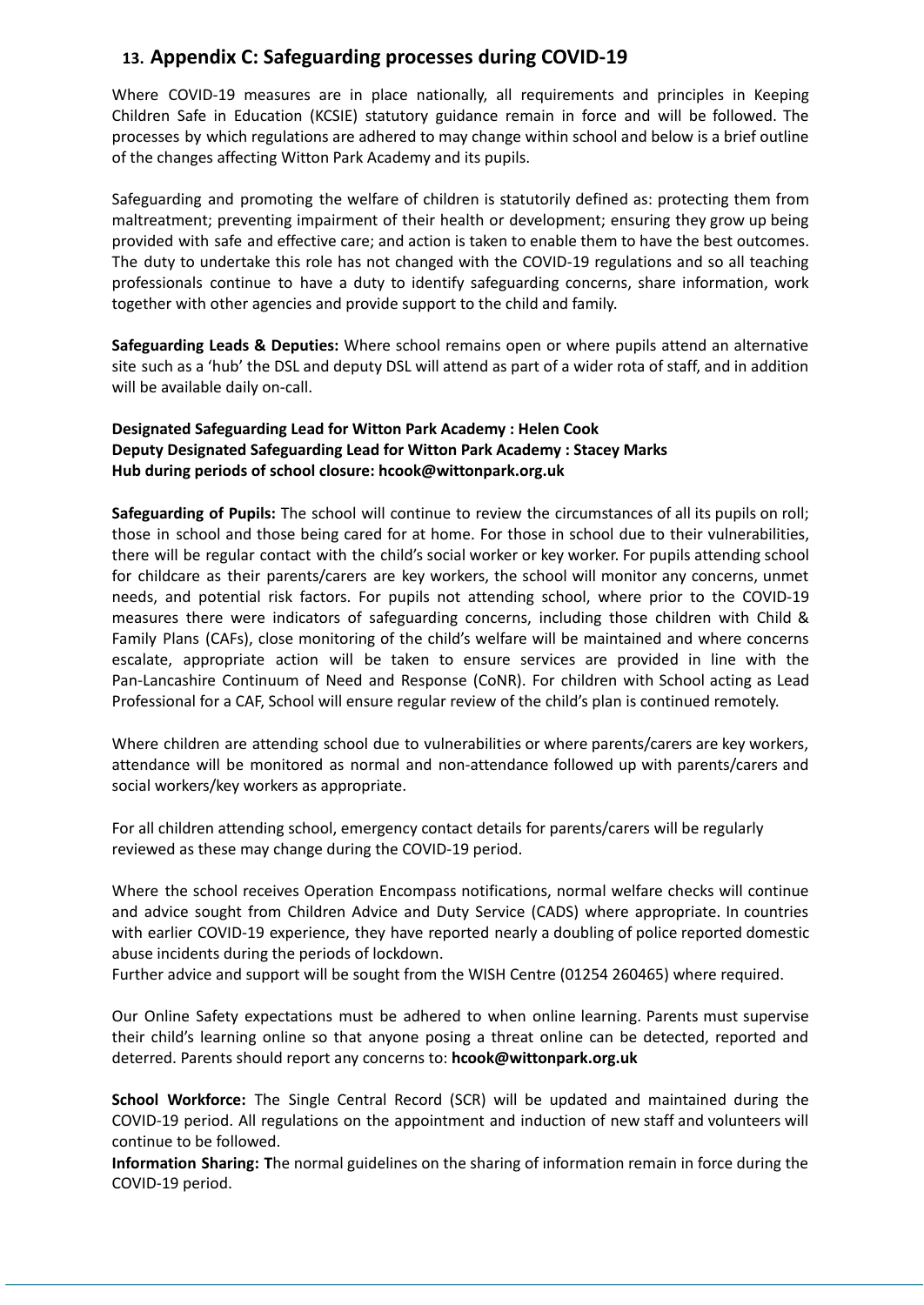## **13. Appendix C: Safeguarding processes during COVID-19**

Where COVID-19 measures are in place nationally, all requirements and principles in Keeping Children Safe in Education (KCSIE) statutory guidance remain in force and will be followed. The processes by which regulations are adhered to may change within school and below is a brief outline of the changes affecting Witton Park Academy and its pupils.

Safeguarding and promoting the welfare of children is statutorily defined as: protecting them from maltreatment; preventing impairment of their health or development; ensuring they grow up being provided with safe and effective care; and action is taken to enable them to have the best outcomes. The duty to undertake this role has not changed with the COVID-19 regulations and so all teaching professionals continue to have a duty to identify safeguarding concerns, share information, work together with other agencies and provide support to the child and family.

**Safeguarding Leads & Deputies:** Where school remains open or where pupils attend an alternative site such as a 'hub' the DSL and deputy DSL will attend as part of a wider rota of staff, and in addition will be available daily on-call.

#### **Designated Safeguarding Lead for Witton Park Academy : Helen Cook Deputy Designated Safeguarding Lead for Witton Park Academy : Stacey Marks Hub during periods of school closure: [hcook@wittonpark.org.uk](mailto:hcook@wittonpark.org.uk)**

**Safeguarding of Pupils:** The school will continue to review the circumstances of all its pupils on roll; those in school and those being cared for at home. For those in school due to their vulnerabilities, there will be regular contact with the child's social worker or key worker. For pupils attending school for childcare as their parents/carers are key workers, the school will monitor any concerns, unmet needs, and potential risk factors. For pupils not attending school, where prior to the COVID-19 measures there were indicators of safeguarding concerns, including those children with Child & Family Plans (CAFs), close monitoring of the child's welfare will be maintained and where concerns escalate, appropriate action will be taken to ensure services are provided in line with the Pan-Lancashire Continuum of Need and Response (CoNR). For children with School acting as Lead Professional for a CAF, School will ensure regular review of the child's plan is continued remotely.

Where children are attending school due to vulnerabilities or where parents/carers are key workers, attendance will be monitored as normal and non-attendance followed up with parents/carers and social workers/key workers as appropriate.

For all children attending school, emergency contact details for parents/carers will be regularly reviewed as these may change during the COVID-19 period.

Where the school receives Operation Encompass notifications, normal welfare checks will continue and advice sought from Children Advice and Duty Service (CADS) where appropriate. In countries with earlier COVID-19 experience, they have reported nearly a doubling of police reported domestic abuse incidents during the periods of lockdown.

Further advice and support will be sought from the WISH Centre (01254 260465) where required.

Our Online Safety expectations must be adhered to when online learning. Parents must supervise their child's learning online so that anyone posing a threat online can be detected, reported and deterred. Parents should report any concerns to: **[hcook@wittonpark.org.uk](mailto:hcook@wittonpark.org.uk)**

**School Workforce:** The Single Central Record (SCR) will be updated and maintained during the COVID-19 period. All regulations on the appointment and induction of new staff and volunteers will continue to be followed.

**Information Sharing: T**he normal guidelines on the sharing of information remain in force during the COVID-19 period.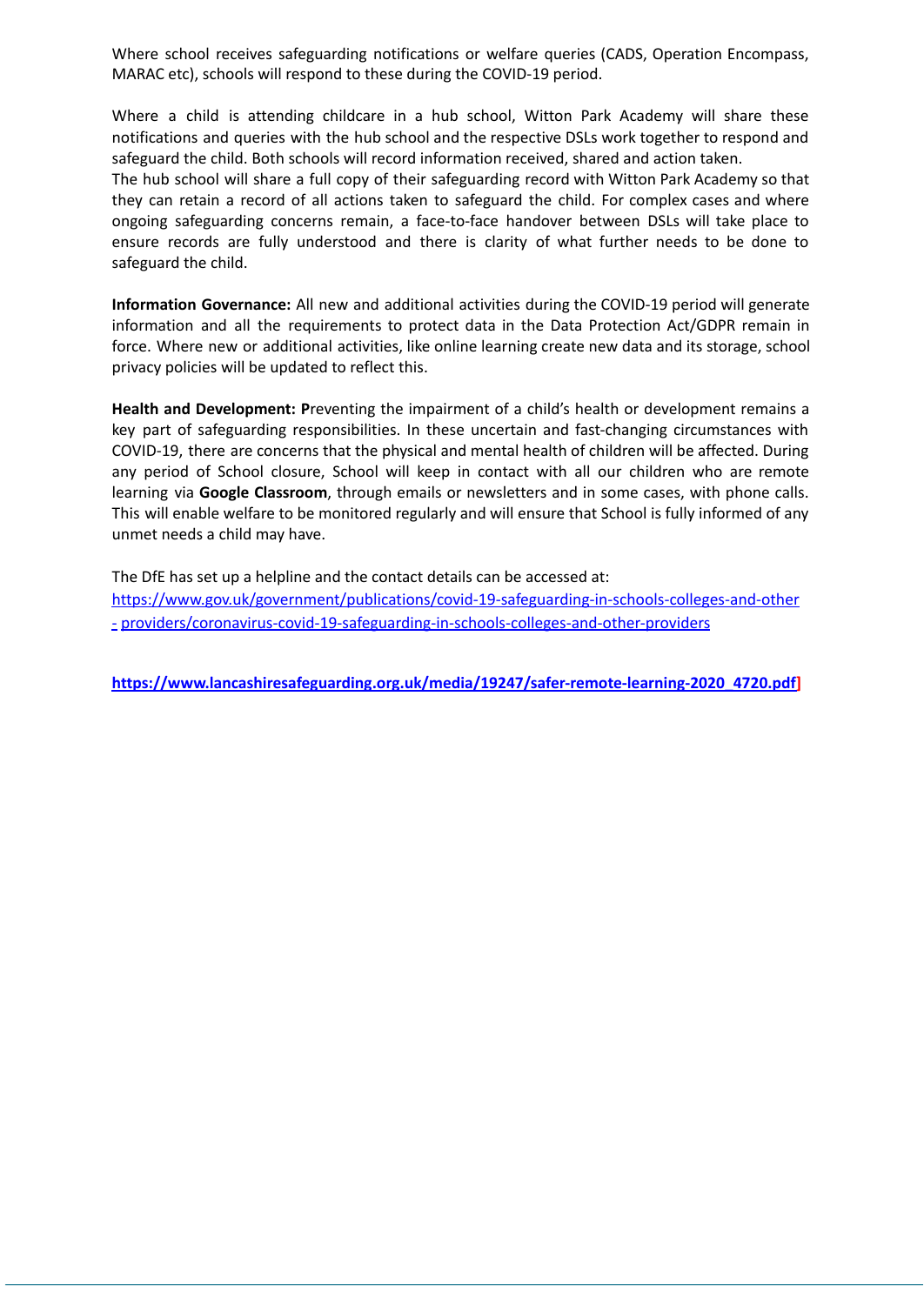Where school receives safeguarding notifications or welfare queries (CADS, Operation Encompass, MARAC etc), schools will respond to these during the COVID-19 period.

Where a child is attending childcare in a hub school, Witton Park Academy will share these notifications and queries with the hub school and the respective DSLs work together to respond and safeguard the child. Both schools will record information received, shared and action taken.

The hub school will share a full copy of their safeguarding record with Witton Park Academy so that they can retain a record of all actions taken to safeguard the child. For complex cases and where ongoing safeguarding concerns remain, a face-to-face handover between DSLs will take place to ensure records are fully understood and there is clarity of what further needs to be done to safeguard the child.

**Information Governance:** All new and additional activities during the COVID-19 period will generate information and all the requirements to protect data in the Data Protection Act/GDPR remain in force. Where new or additional activities, like online learning create new data and its storage, school privacy policies will be updated to reflect this.

**Health and Development: P**reventing the impairment of a child's health or development remains a key part of safeguarding responsibilities. In these uncertain and fast-changing circumstances with COVID-19, there are concerns that the physical and mental health of children will be affected. During any period of School closure, School will keep in contact with all our children who are remote learning via **Google Classroom**, through emails or newsletters and in some cases, with phone calls. This will enable welfare to be monitored regularly and will ensure that School is fully informed of any unmet needs a child may have.

The DfE has set up a helpline and the contact details can be accessed at: [https://www.gov.uk/government/publications/covid-19-safeguarding-in-schools-colleges-and-other](https://www.gov.uk/government/publications/covid-19-safeguarding-in-schools-colleges-and-other-providers/coronavirus-covid-19-safeguarding-in-schools-colleges-and-other-providers) [-](https://www.gov.uk/government/publications/covid-19-safeguarding-in-schools-colleges-and-other-providers/coronavirus-covid-19-safeguarding-in-schools-colleges-and-other-providers) [providers/coronavirus-covid-19-safeguarding-in-schools-colleges-and-other-providers](https://www.gov.uk/government/publications/covid-19-safeguarding-in-schools-colleges-and-other-providers/coronavirus-covid-19-safeguarding-in-schools-colleges-and-other-providers)

**[https://www.lancashiresafeguarding.org.uk/media/19247/safer-remote-learning-2020\\_4720.pdf\]](https://www.lancashiresafeguarding.org.uk/media/19247/safer-remote-learning-2020_4720.pdf)**